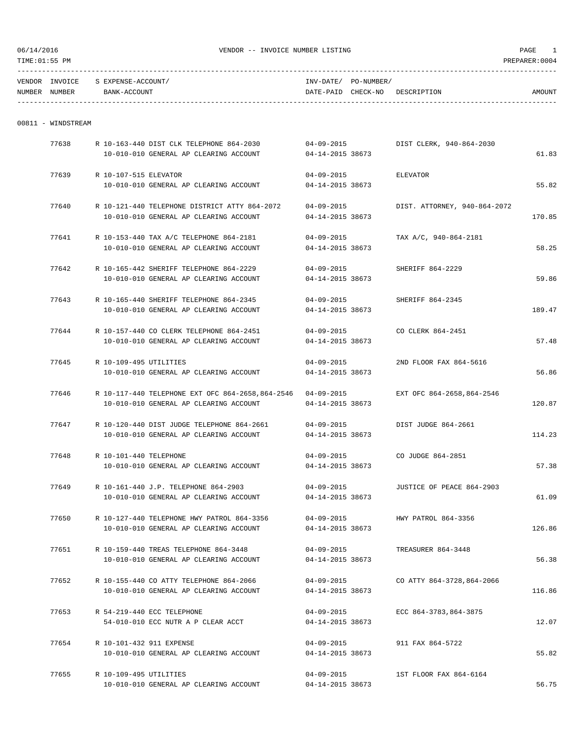| VENDOR          | TNN/OTCE |        | TNTL                    | .               |       |  |
|-----------------|----------|--------|-------------------------|-----------------|-------|--|
| <b>NITIMDED</b> | MINDER   | אדר הח | T <sub>D</sub><br>namm. | $ATIIIATIIATI0$ | ,,,,, |  |

| NUMBER | <b>NUMBER</b> | ACCOUNT<br>זדג ה<br>$BANK - AC$ | DATE-PAID | CHECK-NO | RIPTION<br><b>DESCR</b> | <b>AMOUNT</b> |
|--------|---------------|---------------------------------|-----------|----------|-------------------------|---------------|
|        |               |                                 |           |          |                         |               |

## 00811 - WINDSTREAM

| 77638 |                          | R 10-163-440 DIST CLK TELEPHONE 864-2030                      | $04 - 09 - 2015$       | DIST CLERK, 940-864-2030     |        |
|-------|--------------------------|---------------------------------------------------------------|------------------------|------------------------------|--------|
|       |                          | 10-010-010 GENERAL AP CLEARING ACCOUNT                        | 04-14-2015 38673       |                              | 61.83  |
| 77639 | R 10-107-515 ELEVATOR    |                                                               | 04-09-2015             | <b>ELEVATOR</b>              |        |
|       |                          | 10-010-010 GENERAL AP CLEARING ACCOUNT                        | 04-14-2015 38673       |                              | 55.82  |
| 77640 |                          | R 10-121-440 TELEPHONE DISTRICT ATTY 864-2072                 | $04 - 09 - 2015$       | DIST. ATTORNEY, 940-864-2072 |        |
|       |                          | 10-010-010 GENERAL AP CLEARING ACCOUNT                        | 04-14-2015 38673       |                              | 170.85 |
| 77641 |                          | R 10-153-440 TAX A/C TELEPHONE 864-2181                       | $04 - 09 - 2015$       | TAX A/C, 940-864-2181        |        |
|       |                          | 10-010-010 GENERAL AP CLEARING ACCOUNT                        | 04-14-2015 38673       |                              | 58.25  |
| 77642 |                          | R 10-165-442 SHERIFF TELEPHONE 864-2229                       | $04 - 09 - 2015$       | SHERIFF 864-2229             |        |
|       |                          | 10-010-010 GENERAL AP CLEARING ACCOUNT                        | 04-14-2015 38673       |                              | 59.86  |
| 77643 |                          | R 10-165-440 SHERIFF TELEPHONE 864-2345                       | $04 - 09 - 2015$       | SHERIFF 864-2345             |        |
|       |                          | 10-010-010 GENERAL AP CLEARING ACCOUNT                        | 04-14-2015 38673       |                              | 189.47 |
| 77644 |                          | R 10-157-440 CO CLERK TELEPHONE 864-2451                      | 04-09-2015             | CO CLERK 864-2451            |        |
|       |                          | 10-010-010 GENERAL AP CLEARING ACCOUNT                        | 04-14-2015 38673       |                              | 57.48  |
| 77645 | R 10-109-495 UTILITIES   |                                                               | $04 - 09 - 2015$       | 2ND FLOOR FAX 864-5616       |        |
|       |                          | 10-010-010 GENERAL AP CLEARING ACCOUNT                        | 04-14-2015 38673       |                              | 56.86  |
| 77646 |                          | R 10-117-440 TELEPHONE EXT OFC 864-2658, 864-2546  04-09-2015 |                        | EXT OFC 864-2658,864-2546    |        |
|       |                          | 10-010-010 GENERAL AP CLEARING ACCOUNT                        | 04-14-2015 38673       |                              | 120.87 |
| 77647 |                          | R 10-120-440 DIST JUDGE TELEPHONE 864-2661                    | 04-09-2015             | DIST JUDGE 864-2661          |        |
|       |                          | 10-010-010 GENERAL AP CLEARING ACCOUNT                        | 04-14-2015 38673       |                              | 114.23 |
| 77648 | R 10-101-440 TELEPHONE   |                                                               | $04 - 09 - 2015$       | CO JUDGE 864-2851            |        |
|       |                          | 10-010-010 GENERAL AP CLEARING ACCOUNT                        | 04-14-2015 38673       |                              | 57.38  |
| 77649 |                          | R 10-161-440 J.P. TELEPHONE 864-2903                          | $04 - 09 - 2015$       | JUSTICE OF PEACE 864-2903    |        |
|       |                          | 10-010-010 GENERAL AP CLEARING ACCOUNT                        | 04-14-2015 38673       |                              | 61.09  |
| 77650 |                          | R 10-127-440 TELEPHONE HWY PATROL 864-3356                    | $04 - 09 - 2015$       | HWY PATROL 864-3356          |        |
|       |                          | 10-010-010 GENERAL AP CLEARING ACCOUNT                        | 04-14-2015 38673       |                              | 126.86 |
| 77651 |                          | R 10-159-440 TREAS TELEPHONE 864-3448                         | 04-09-2015             | TREASURER 864-3448           |        |
|       |                          | 10-010-010 GENERAL AP CLEARING ACCOUNT                        | 04-14-2015 38673       |                              | 56.38  |
| 77652 |                          | R 10-155-440 CO ATTY TELEPHONE 864-2066                       | 04-09-2015             | CO ATTY 864-3728,864-2066    |        |
|       |                          | 10-010-010 GENERAL AP CLEARING ACCOUNT                        | 04-14-2015 38673       |                              | 116.86 |
| 77653 |                          | R 54-219-440 ECC TELEPHONE                                    | $04 - 09 - 2015$       | ECC 864-3783,864-3875        |        |
|       |                          | 54-010-010 ECC NUTR A P CLEAR ACCT                            | 04-14-2015 38673       |                              | 12.07  |
| 77654 | R 10-101-432 911 EXPENSE |                                                               | $04 - 09 - 2015$       | 911 FAX 864-5722             |        |
|       |                          | 10-010-010 GENERAL AP CLEARING ACCOUNT                        | 04-14-2015 38673       |                              | 55.82  |
| 77655 | R 10-109-495 UTILITIES   |                                                               | $04 - 09 - 2015$       | 1ST FLOOR FAX 864-6164       |        |
|       |                          | 10-010-010 GENERAL AP CLEARING ACCOUNT                        | $04 - 14 - 2015$ 38673 |                              | 56.75  |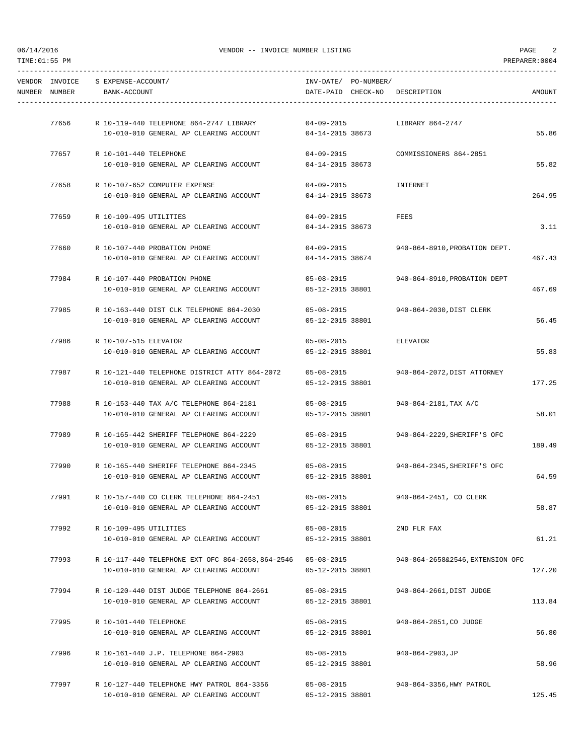| PREPARER: 0004 |                                 |                                      |                                                                                   |                                    |                                 | TIME:01:55 PM |
|----------------|---------------------------------|--------------------------------------|-----------------------------------------------------------------------------------|------------------------------------|---------------------------------|---------------|
| AMOUNT         | DATE-PAID CHECK-NO DESCRIPTION  | INV-DATE/ PO-NUMBER/                 |                                                                                   | S EXPENSE-ACCOUNT/<br>BANK-ACCOUNT | VENDOR INVOICE<br>NUMBER NUMBER |               |
|                |                                 |                                      |                                                                                   |                                    |                                 |               |
|                | LIBRARY 864-2747                |                                      |                                                                                   |                                    | 77656                           |               |
| 55.86          |                                 | 04-14-2015 38673                     | 10-010-010 GENERAL AP CLEARING ACCOUNT                                            |                                    |                                 |               |
|                | COMMISSIONERS 864-2851          | $04 - 09 - 2015$                     |                                                                                   | 77657 R 10-101-440 TELEPHONE       |                                 |               |
| 55.82          |                                 | 04-14-2015 38673                     | 10-010-010 GENERAL AP CLEARING ACCOUNT                                            |                                    |                                 |               |
|                |                                 |                                      |                                                                                   |                                    |                                 |               |
| 264.95         | INTERNET                        | $04 - 09 - 2015$<br>04-14-2015 38673 | R 10-107-652 COMPUTER EXPENSE<br>10-010-010 GENERAL AP CLEARING ACCOUNT           |                                    | 77658                           |               |
|                |                                 |                                      |                                                                                   |                                    |                                 |               |
|                | FEES                            | $04 - 09 - 2015$                     |                                                                                   | R 10-109-495 UTILITIES             | 77659                           |               |
| 3.11           |                                 | 04-14-2015 38673                     | 10-010-010 GENERAL AP CLEARING ACCOUNT                                            |                                    |                                 |               |
|                | 940-864-8910, PROBATION DEPT.   | 04-09-2015                           | R 10-107-440 PROBATION PHONE                                                      |                                    | 77660                           |               |
| 467.43         |                                 | 04-14-2015 38674                     | 10-010-010 GENERAL AP CLEARING ACCOUNT                                            |                                    |                                 |               |
|                |                                 |                                      |                                                                                   |                                    |                                 |               |
| 467.69         | 940-864-8910, PROBATION DEPT    | $05 - 08 - 2015$<br>05-12-2015 38801 | 10-010-010 GENERAL AP CLEARING ACCOUNT                                            | 77984 R 10-107-440 PROBATION PHONE |                                 |               |
|                |                                 |                                      |                                                                                   |                                    |                                 |               |
|                | 940-864-2030, DIST CLERK        | $05 - 08 - 2015$                     | R 10-163-440 DIST CLK TELEPHONE 864-2030                                          |                                    | 77985                           |               |
| 56.45          |                                 | 05-12-2015 38801                     | 10-010-010 GENERAL AP CLEARING ACCOUNT                                            |                                    |                                 |               |
|                | ELEVATOR                        | $05 - 08 - 2015$                     |                                                                                   | R 10-107-515 ELEVATOR              | 77986                           |               |
| 55.83          |                                 | 05-12-2015 38801                     | 10-010-010 GENERAL AP CLEARING ACCOUNT                                            |                                    |                                 |               |
|                |                                 |                                      |                                                                                   |                                    |                                 |               |
|                | 940-864-2072, DIST ATTORNEY     | 05-08-2015                           | R 10-121-440 TELEPHONE DISTRICT ATTY 864-2072                                     |                                    | 77987                           |               |
| 177.25         |                                 | 05-12-2015 38801                     | 10-010-010 GENERAL AP CLEARING ACCOUNT                                            |                                    |                                 |               |
|                | 940-864-2181,TAX A/C            | $05 - 08 - 2015$                     | R 10-153-440 TAX A/C TELEPHONE 864-2181                                           |                                    | 77988                           |               |
| 58.01          |                                 | 05-12-2015 38801                     | 10-010-010 GENERAL AP CLEARING ACCOUNT                                            |                                    |                                 |               |
|                |                                 |                                      |                                                                                   |                                    |                                 |               |
| 189.49         | 940-864-2229, SHERIFF'S OFC     | $05 - 08 - 2015$<br>05-12-2015 38801 | R 10-165-442 SHERIFF TELEPHONE 864-2229<br>10-010-010 GENERAL AP CLEARING ACCOUNT |                                    | 77989                           |               |
|                |                                 |                                      |                                                                                   |                                    |                                 |               |
|                | 940-864-2345. SHERIFF'S OFC     | $05 - 08 - 2015$                     | R 10-165-440 SHERIFF TELEPHONE 864-2345                                           |                                    | 77990                           |               |
| 64.59          |                                 | 05-12-2015 38801                     | 10-010-010 GENERAL AP CLEARING ACCOUNT                                            |                                    |                                 |               |
|                | 940-864-2451, CO CLERK          | 05-08-2015                           | R 10-157-440 CO CLERK TELEPHONE 864-2451                                          |                                    | 77991                           |               |
| 58.87          |                                 | 05-12-2015 38801                     | 10-010-010 GENERAL AP CLEARING ACCOUNT                                            |                                    |                                 |               |
|                |                                 |                                      |                                                                                   |                                    |                                 |               |
| 61.21          | 2ND FLR FAX                     | $05 - 08 - 2015$<br>05-12-2015 38801 | 10-010-010 GENERAL AP CLEARING ACCOUNT                                            | R 10-109-495 UTILITIES             | 77992                           |               |
|                |                                 |                                      |                                                                                   |                                    |                                 |               |
|                | 940-864-2658&2546.EXTENSION OFC | 05-08-2015                           | R 10-117-440 TELEPHONE EXT OFC 864-2658,864-2546                                  |                                    | 77993                           |               |
| 127.20         |                                 | 05-12-2015 38801                     | 10-010-010 GENERAL AP CLEARING ACCOUNT                                            |                                    |                                 |               |
|                | 940-864-2661, DIST JUDGE        | 05-08-2015                           | R 10-120-440 DIST JUDGE TELEPHONE 864-2661                                        |                                    | 77994                           |               |
| 113.84         |                                 | 05-12-2015 38801                     | 10-010-010 GENERAL AP CLEARING ACCOUNT                                            |                                    |                                 |               |
|                |                                 |                                      |                                                                                   |                                    |                                 |               |
|                | 940-864-2851, CO JUDGE          | 05-08-2015                           |                                                                                   | R 10-101-440 TELEPHONE             | 77995                           |               |
| 56.80          |                                 | 05-12-2015 38801                     | 10-010-010 GENERAL AP CLEARING ACCOUNT                                            |                                    |                                 |               |
|                | 940-864-2903, JP                | $05 - 08 - 2015$                     | R 10-161-440 J.P. TELEPHONE 864-2903                                              |                                    | 77996                           |               |
| 58.96          |                                 | 05-12-2015 38801                     | 10-010-010 GENERAL AP CLEARING ACCOUNT                                            |                                    |                                 |               |
|                | 940-864-3356, HWY PATROL        | $05 - 08 - 2015$                     | R 10-127-440 TELEPHONE HWY PATROL 864-3356                                        |                                    | 77997                           |               |
|                |                                 |                                      |                                                                                   |                                    |                                 |               |

10-010-010 GENERAL AP CLEARING ACCOUNT 05-12-2015 38801 125.45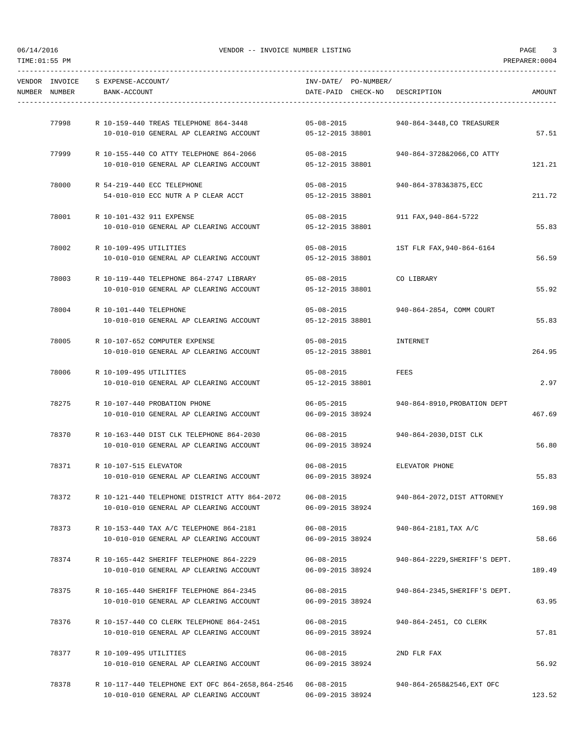| NUMBER NUMBER | VENDOR INVOICE S EXPENSE-ACCOUNT/<br>BANK-ACCOUNT                                       | INV-DATE/ PO-NUMBER/                 | DATE-PAID CHECK-NO DESCRIPTION      | AMOUNT |
|---------------|-----------------------------------------------------------------------------------------|--------------------------------------|-------------------------------------|--------|
|               | 77998 R 10-159-440 TREAS TELEPHONE 864-3448                                             | $05 - 08 - 2015$                     | 940-864-3448,CO TREASURER           |        |
|               | 10-010-010 GENERAL AP CLEARING ACCOUNT 05-12-2015 38801                                 |                                      |                                     | 57.51  |
|               | 77999 R 10-155-440 CO ATTY TELEPHONE 864-2066<br>10-010-010 GENERAL AP CLEARING ACCOUNT | $05 - 08 - 2015$<br>05-12-2015 38801 | 940-864-3728&2066,CO ATTY           | 121.21 |
|               |                                                                                         |                                      |                                     |        |
|               | 78000 R 54-219-440 ECC TELEPHONE<br>54-010-010 ECC NUTR A P CLEAR ACCT                  | 05-12-2015 38801                     | 05-08-2015 940-864-3783&3875, ECC   | 211.72 |
| 78001         | R 10-101-432 911 EXPENSE                                                                | $05 - 08 - 2015$                     | 911 FAX,940-864-5722                |        |
|               | 10-010-010 GENERAL AP CLEARING ACCOUNT                                                  | 05-12-2015 38801                     |                                     | 55.83  |
| 78002         | R 10-109-495 UTILITIES                                                                  | $05 - 08 - 2015$                     | 1ST FLR FAX, 940-864-6164           |        |
|               | 10-010-010 GENERAL AP CLEARING ACCOUNT                                                  | 05-12-2015 38801                     |                                     | 56.59  |
|               | 78003 R 10-119-440 TELEPHONE 864-2747 LIBRARY                                           | $05 - 08 - 2015$                     | CO LIBRARY                          |        |
|               | 10-010-010 GENERAL AP CLEARING ACCOUNT                                                  | 05-12-2015 38801                     |                                     | 55.92  |
|               | 78004 R 10-101-440 TELEPHONE                                                            |                                      | 05-08-2015 940-864-2854, COMM COURT |        |
|               | 10-010-010 GENERAL AP CLEARING ACCOUNT                                                  | 05-12-2015 38801                     |                                     | 55.83  |
| 78005         | R 10-107-652 COMPUTER EXPENSE                                                           | $05 - 08 - 2015$                     | INTERNET                            |        |
|               | 10-010-010 GENERAL AP CLEARING ACCOUNT                                                  | 05-12-2015 38801                     |                                     | 264.95 |
| 78006         | R 10-109-495 UTILITIES                                                                  | $05 - 08 - 2015$                     | FEES                                |        |
|               | 10-010-010 GENERAL AP CLEARING ACCOUNT                                                  | 05-12-2015 38801                     |                                     | 2.97   |
|               | 78275 R 10-107-440 PROBATION PHONE                                                      | $06 - 05 - 2015$                     | 940-864-8910, PROBATION DEPT        |        |
|               | 10-010-010 GENERAL AP CLEARING ACCOUNT                                                  | 06-09-2015 38924                     |                                     | 467.69 |
|               | 78370 R 10-163-440 DIST CLK TELEPHONE 864-2030                                          | $06 - 08 - 2015$                     | 940-864-2030,DIST CLK               |        |
|               | 10-010-010 GENERAL AP CLEARING ACCOUNT                                                  | 06-09-2015 38924                     |                                     | 56.80  |
|               | 78371 R 10-107-515 ELEVATOR                                                             |                                      | 06-08-2015 ELEVATOR PHONE           |        |
|               | 10-010-010 GENERAL AP CLEARING ACCOUNT                                                  | 06-09-2015 38924                     |                                     | 55.83  |
| 78372         | R 10-121-440 TELEPHONE DISTRICT ATTY 864-2072                                           | $06 - 08 - 2015$                     | 940-864-2072, DIST ATTORNEY         |        |
|               | 10-010-010 GENERAL AP CLEARING ACCOUNT                                                  | 06-09-2015 38924                     |                                     | 169.98 |
| 78373         | R 10-153-440 TAX A/C TELEPHONE 864-2181                                                 | $06 - 08 - 2015$                     | 940-864-2181,TAX A/C                |        |
|               | 10-010-010 GENERAL AP CLEARING ACCOUNT                                                  | 06-09-2015 38924                     |                                     | 58.66  |
| 78374         | R 10-165-442 SHERIFF TELEPHONE 864-2229                                                 | $06 - 08 - 2015$                     | 940-864-2229, SHERIFF'S DEPT.       |        |
|               | 10-010-010 GENERAL AP CLEARING ACCOUNT                                                  | 06-09-2015 38924                     |                                     | 189.49 |
| 78375         | R 10-165-440 SHERIFF TELEPHONE 864-2345                                                 | $06 - 08 - 2015$                     | 940-864-2345, SHERIFF'S DEPT.       |        |
|               | 10-010-010 GENERAL AP CLEARING ACCOUNT                                                  | 06-09-2015 38924                     |                                     | 63.95  |
| 78376         | R 10-157-440 CO CLERK TELEPHONE 864-2451                                                | $06 - 08 - 2015$                     | 940-864-2451, CO CLERK              |        |
|               | 10-010-010 GENERAL AP CLEARING ACCOUNT                                                  | 06-09-2015 38924                     |                                     | 57.81  |
| 78377         | R 10-109-495 UTILITIES                                                                  | $06 - 08 - 2015$                     | 2ND FLR FAX                         |        |
|               | 10-010-010 GENERAL AP CLEARING ACCOUNT                                                  | 06-09-2015 38924                     |                                     | 56.92  |
| 78378         | R 10-117-440 TELEPHONE EXT OFC 864-2658,864-2546                                        | $06 - 08 - 2015$                     | 940-864-2658&2546, EXT OFC          |        |
|               | 10-010-010 GENERAL AP CLEARING ACCOUNT                                                  | 06-09-2015 38924                     |                                     | 123.52 |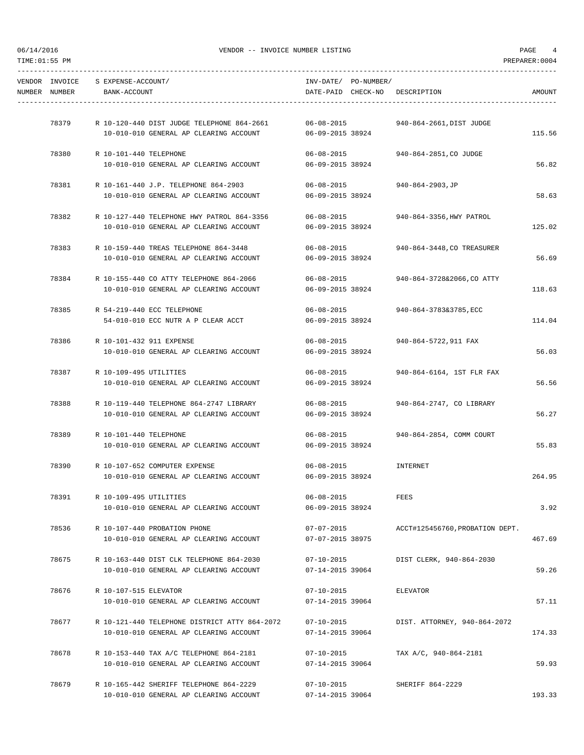| 06/14/2016 | TIME: 01:55 PM | VENDOR -- INVOICE NUMBER LISTING<br>PREPARER: 0004 |                                                                                    |                                |                      |                                 |        |
|------------|----------------|----------------------------------------------------|------------------------------------------------------------------------------------|--------------------------------|----------------------|---------------------------------|--------|
|            | VENDOR INVOICE | S EXPENSE-ACCOUNT/                                 |                                                                                    |                                | INV-DATE/ PO-NUMBER/ |                                 |        |
|            | NUMBER NUMBER  | BANK-ACCOUNT                                       |                                                                                    |                                |                      | DATE-PAID CHECK-NO DESCRIPTION  | AMOUNT |
|            |                |                                                    |                                                                                    |                                |                      |                                 |        |
|            | 78379          |                                                    | R 10-120-440 DIST JUDGE TELEPHONE 864-2661                                         | $06 - 08 - 2015$               |                      | 940-864-2661, DIST JUDGE        |        |
|            |                |                                                    | 10-010-010 GENERAL AP CLEARING ACCOUNT                                             | 06-09-2015 38924               |                      |                                 | 115.56 |
|            | 78380          | R 10-101-440 TELEPHONE                             |                                                                                    | 06-08-2015                     |                      | 940-864-2851, CO JUDGE          |        |
|            |                |                                                    | 10-010-010 GENERAL AP CLEARING ACCOUNT                                             | 06-09-2015 38924               |                      |                                 | 56.82  |
|            |                |                                                    | 78381 R 10-161-440 J.P. TELEPHONE 864-2903                                         | $06 - 08 - 2015$               |                      | 940-864-2903,JP                 |        |
|            |                |                                                    | 10-010-010 GENERAL AP CLEARING ACCOUNT                                             | 06-09-2015 38924               |                      |                                 | 58.63  |
|            | 78382          |                                                    | R 10-127-440 TELEPHONE HWY PATROL 864-3356                                         | $06 - 08 - 2015$               |                      | 940-864-3356, HWY PATROL        |        |
|            |                |                                                    | 10-010-010 GENERAL AP CLEARING ACCOUNT                                             | 06-09-2015 38924               |                      |                                 | 125.02 |
|            | 78383          |                                                    |                                                                                    | $06 - 08 - 2015$               |                      |                                 |        |
|            |                |                                                    | R 10-159-440 TREAS TELEPHONE 864-3448<br>10-010-010 GENERAL AP CLEARING ACCOUNT    | 06-09-2015 38924               |                      | 940-864-3448, CO TREASURER      | 56.69  |
|            |                |                                                    |                                                                                    |                                |                      |                                 |        |
|            | 78384          |                                                    | R 10-155-440 CO ATTY TELEPHONE 864-2066                                            | $06 - 08 - 2015$               |                      | 940-864-3728&2066, CO ATTY      |        |
|            |                |                                                    | 10-010-010 GENERAL AP CLEARING ACCOUNT                                             | 06-09-2015 38924               |                      |                                 | 118.63 |
|            | 78385          |                                                    | R 54-219-440 ECC TELEPHONE                                                         | $06 - 08 - 2015$               |                      | 940-864-3783&3785,ECC           |        |
|            |                |                                                    | 54-010-010 ECC NUTR A P CLEAR ACCT                                                 | 06-09-2015 38924               |                      |                                 | 114.04 |
|            | 78386          | R 10-101-432 911 EXPENSE                           |                                                                                    | $06 - 08 - 2015$               |                      | 940-864-5722,911 FAX            |        |
|            |                |                                                    | 10-010-010 GENERAL AP CLEARING ACCOUNT                                             | 06-09-2015 38924               |                      |                                 | 56.03  |
|            | 78387          | R 10-109-495 UTILITIES                             |                                                                                    | $06 - 08 - 2015$               |                      | 940-864-6164, 1ST FLR FAX       |        |
|            |                |                                                    | 10-010-010 GENERAL AP CLEARING ACCOUNT                                             | 06-09-2015 38924               |                      |                                 | 56.56  |
|            |                |                                                    |                                                                                    |                                |                      |                                 |        |
|            | 78388          |                                                    | R 10-119-440 TELEPHONE 864-2747 LIBRARY<br>10-010-010 GENERAL AP CLEARING ACCOUNT  | 06-08-2015<br>06-09-2015 38924 |                      | 940-864-2747, CO LIBRARY        | 56.27  |
|            |                |                                                    |                                                                                    |                                |                      |                                 |        |
|            | 78389          | R 10-101-440 TELEPHONE                             |                                                                                    | $06 - 08 - 2015$               |                      | 940-864-2854, COMM COURT        |        |
|            |                |                                                    | 10-010-010 GENERAL AP CLEARING ACCOUNT                                             | 06-09-2015 38924               |                      |                                 | 55.83  |
|            | 78390          |                                                    | R 10-107-652 COMPUTER EXPENSE                                                      | $06 - 08 - 2015$               |                      | INTERNET                        |        |
|            |                |                                                    | 10-010-010 GENERAL AP CLEARING ACCOUNT                                             | 06-09-2015 38924               |                      |                                 | 264.95 |
|            | 78391          | R 10-109-495 UTILITIES                             |                                                                                    | $06 - 08 - 2015$               |                      | FEES                            |        |
|            |                |                                                    | 10-010-010 GENERAL AP CLEARING ACCOUNT                                             | 06-09-2015 38924               |                      |                                 | 3.92   |
|            | 78536          |                                                    | R 10-107-440 PROBATION PHONE                                                       | $07 - 07 - 2015$               |                      | ACCT#125456760, PROBATION DEPT. |        |
|            |                |                                                    | 10-010-010 GENERAL AP CLEARING ACCOUNT                                             | 07-07-2015 38975               |                      |                                 | 467.69 |
|            |                |                                                    |                                                                                    |                                |                      |                                 |        |
|            | 78675          |                                                    | R 10-163-440 DIST CLK TELEPHONE 864-2030<br>10-010-010 GENERAL AP CLEARING ACCOUNT | 07-10-2015                     |                      | DIST CLERK, 940-864-2030        | 59.26  |
|            |                |                                                    |                                                                                    | 07-14-2015 39064               |                      |                                 |        |
|            | 78676          | R 10-107-515 ELEVATOR                              |                                                                                    | $07 - 10 - 2015$               |                      | ELEVATOR                        |        |
|            |                |                                                    | 10-010-010 GENERAL AP CLEARING ACCOUNT                                             | 07-14-2015 39064               |                      |                                 | 57.11  |
|            | 78677          |                                                    | R 10-121-440 TELEPHONE DISTRICT ATTY 864-2072                                      | 07-10-2015                     |                      | DIST. ATTORNEY, 940-864-2072    |        |
|            |                |                                                    | 10-010-010 GENERAL AP CLEARING ACCOUNT                                             | 07-14-2015 39064               |                      |                                 | 174.33 |
|            | 78678          |                                                    | R 10-153-440 TAX A/C TELEPHONE 864-2181                                            | 07-10-2015                     |                      | TAX A/C, 940-864-2181           |        |
|            |                |                                                    | 10-010-010 GENERAL AP CLEARING ACCOUNT                                             | 07-14-2015 39064               |                      |                                 | 59.93  |
|            |                |                                                    |                                                                                    |                                |                      |                                 |        |
|            | 78679          |                                                    | R 10-165-442 SHERIFF TELEPHONE 864-2229                                            | $07 - 10 - 2015$               |                      | SHERIFF 864-2229                |        |

10-010-010 GENERAL AP CLEARING ACCOUNT 07-14-2015 39064 193.33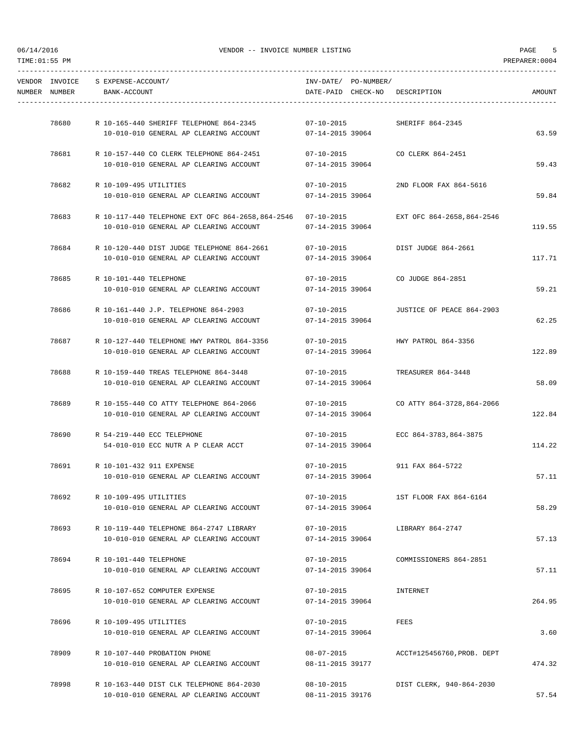| NUMBER NUMBER | VENDOR INVOICE S EXPENSE-ACCOUNT/<br>BANK-ACCOUNT |                                                                                                                                       |                                            | INV-DATE/ PO-NUMBER/ | DATE-PAID CHECK-NO DESCRIPTION   | AMOUNT |
|---------------|---------------------------------------------------|---------------------------------------------------------------------------------------------------------------------------------------|--------------------------------------------|----------------------|----------------------------------|--------|
| 78680         |                                                   | R 10-165-440 SHERIFF TELEPHONE 864-2345                                                                                               | $07 - 10 - 2015$                           |                      | SHERIFF 864-2345                 |        |
|               |                                                   | 10-010-010 GENERAL AP CLEARING ACCOUNT                                                                                                | 07-14-2015 39064                           |                      |                                  | 63.59  |
| 78681         |                                                   | R 10-157-440 CO CLERK TELEPHONE 864-2451                                                                                              |                                            |                      | 07-10-2015 CO CLERK 864-2451     |        |
|               |                                                   | 10-010-010 GENERAL AP CLEARING ACCOUNT                                                                                                | 07-14-2015 39064                           |                      |                                  | 59.43  |
| 78682         | R 10-109-495 UTILITIES                            | 10-010-010 GENERAL AP CLEARING ACCOUNT                                                                                                | $07 - 10 - 2015$<br>07-14-2015 39064       |                      | 2ND FLOOR FAX 864-5616           | 59.84  |
|               |                                                   | 78683 R 10-117-440 TELEPHONE EXT OFC 864-2658,864-2546 07-10-2015 EXT OFC 864-2658,864-2546<br>10-010-010 GENERAL AP CLEARING ACCOUNT | 07-14-2015 39064                           |                      |                                  | 119.55 |
|               |                                                   |                                                                                                                                       |                                            |                      |                                  |        |
| 78684         |                                                   | R 10-120-440 DIST JUDGE TELEPHONE 864-2661                                                                                            | $07 - 10 - 2015$                           |                      | DIST JUDGE 864-2661              |        |
|               |                                                   | 10-010-010 GENERAL AP CLEARING ACCOUNT                                                                                                | 07-14-2015 39064                           |                      |                                  | 117.71 |
| 78685         | R 10-101-440 TELEPHONE                            |                                                                                                                                       | $07 - 10 - 2015$                           |                      | CO JUDGE 864-2851                |        |
|               |                                                   | 10-010-010 GENERAL AP CLEARING ACCOUNT                                                                                                | 07-14-2015 39064                           |                      |                                  | 59.21  |
|               | 78686 R 10-161-440 J.P. TELEPHONE 864-2903        |                                                                                                                                       | $07 - 10 - 2015$                           |                      | JUSTICE OF PEACE 864-2903        |        |
|               |                                                   | 10-010-010 GENERAL AP CLEARING ACCOUNT                                                                                                | 07-14-2015 39064                           |                      |                                  | 62.25  |
|               |                                                   | 78687 R 10-127-440 TELEPHONE HWY PATROL 864-3356                                                                                      |                                            |                      | 07-10-2015 HWY PATROL 864-3356   |        |
|               |                                                   | 10-010-010 GENERAL AP CLEARING ACCOUNT                                                                                                | 07-14-2015 39064                           |                      |                                  | 122.89 |
| 78688         |                                                   | R 10-159-440 TREAS TELEPHONE 864-3448                                                                                                 |                                            |                      | 07-10-2015 TREASURER 864-3448    |        |
|               |                                                   | 10-010-010 GENERAL AP CLEARING ACCOUNT                                                                                                | 07-14-2015 39064                           |                      |                                  | 58.09  |
| 78689         |                                                   | R 10-155-440 CO ATTY TELEPHONE 864-2066                                                                                               | 07-10-2015                                 |                      | CO ATTY 864-3728,864-2066        |        |
|               |                                                   | 10-010-010 GENERAL AP CLEARING ACCOUNT                                                                                                | 07-14-2015 39064                           |                      |                                  | 122.84 |
|               | 78690 R 54-219-440 ECC TELEPHONE                  |                                                                                                                                       |                                            |                      | 07-10-2015 ECC 864-3783,864-3875 |        |
|               |                                                   | 54-010-010 ECC NUTR A P CLEAR ACCT                                                                                                    | 07-14-2015 39064                           |                      |                                  | 114.22 |
|               | 78691 R 10-101-432 911 EXPENSE                    |                                                                                                                                       |                                            |                      | 07-10-2015 911 FAX 864-5722      |        |
|               |                                                   | 10-010-010 GENERAL AP CLEARING ACCOUNT                                                                                                | 07-14-2015 39064                           |                      |                                  | 57.11  |
|               |                                                   |                                                                                                                                       |                                            |                      |                                  |        |
| 78692         | R 10-109-495 UTILITIES                            | 10-010-010 GENERAL AP CLEARING ACCOUNT                                                                                                | $07 - 10 - 2015$<br>$07 - 14 - 2015$ 39064 |                      | 1ST FLOOR FAX 864-6164           | 58.29  |
| 78693         |                                                   | R 10-119-440 TELEPHONE 864-2747 LIBRARY                                                                                               |                                            |                      |                                  |        |
|               |                                                   | 10-010-010 GENERAL AP CLEARING ACCOUNT                                                                                                | 07-10-2015<br>07-14-2015 39064             |                      | LIBRARY 864-2747                 | 57.13  |
|               |                                                   |                                                                                                                                       |                                            |                      |                                  |        |
| 78694         | R 10-101-440 TELEPHONE                            | 10-010-010 GENERAL AP CLEARING ACCOUNT                                                                                                | 07-10-2015<br>07-14-2015 39064             |                      | COMMISSIONERS 864-2851           | 57.11  |
|               |                                                   |                                                                                                                                       |                                            |                      |                                  |        |
| 78695         | R 10-107-652 COMPUTER EXPENSE                     | 10-010-010 GENERAL AP CLEARING ACCOUNT                                                                                                | 07-10-2015<br>07-14-2015 39064             |                      | INTERNET                         | 264.95 |
|               |                                                   |                                                                                                                                       |                                            |                      |                                  |        |
| 78696         | R 10-109-495 UTILITIES                            | 10-010-010 GENERAL AP CLEARING ACCOUNT                                                                                                | $07 - 10 - 2015$<br>07-14-2015 39064       |                      | FEES                             | 3.60   |
|               |                                                   |                                                                                                                                       |                                            |                      |                                  |        |
| 78909         | R 10-107-440 PROBATION PHONE                      |                                                                                                                                       | 08-07-2015                                 |                      | ACCT#125456760,PROB. DEPT        |        |
|               |                                                   | 10-010-010 GENERAL AP CLEARING ACCOUNT                                                                                                | 08-11-2015 39177                           |                      |                                  | 474.32 |
| 78998         |                                                   | R 10-163-440 DIST CLK TELEPHONE 864-2030                                                                                              | 08-10-2015                                 |                      | DIST CLERK, 940-864-2030         |        |
|               |                                                   | 10-010-010 GENERAL AP CLEARING ACCOUNT                                                                                                | 08-11-2015 39176                           |                      |                                  | 57.54  |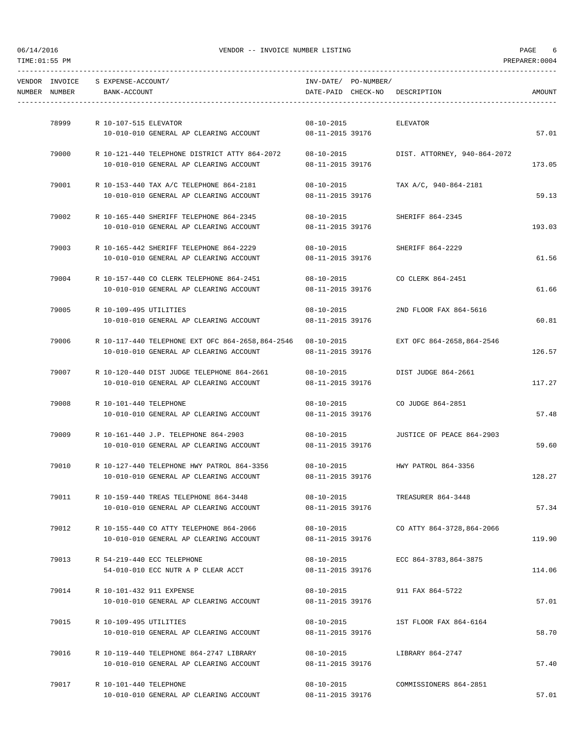| VENDOR INVOICE | S EXPENSE-ACCOUNT/                                                                          |                                      | INV-DATE/ PO-NUMBER/ |                                   |        |
|----------------|---------------------------------------------------------------------------------------------|--------------------------------------|----------------------|-----------------------------------|--------|
| NUMBER NUMBER  | BANK-ACCOUNT                                                                                |                                      |                      | DATE-PAID CHECK-NO DESCRIPTION    | AMOUNT |
|                |                                                                                             |                                      |                      |                                   |        |
| 78999          | R 10-107-515 ELEVATOR                                                                       | $08 - 10 - 2015$                     |                      | ELEVATOR                          |        |
|                | 10-010-010 GENERAL AP CLEARING ACCOUNT                                                      | 08-11-2015 39176                     |                      |                                   | 57.01  |
| 79000          | R 10-121-440 TELEPHONE DISTRICT ATTY 864-2072                                               | 08-10-2015                           |                      | DIST. ATTORNEY, 940-864-2072      |        |
|                | 10-010-010 GENERAL AP CLEARING ACCOUNT                                                      | 08-11-2015 39176                     |                      |                                   | 173.05 |
| 79001          | R 10-153-440 TAX A/C TELEPHONE 864-2181                                                     | 08-10-2015                           |                      | TAX A/C, 940-864-2181             |        |
|                | 10-010-010 GENERAL AP CLEARING ACCOUNT                                                      | 08-11-2015 39176                     |                      |                                   | 59.13  |
| 79002          | R 10-165-440 SHERIFF TELEPHONE 864-2345                                                     | $08 - 10 - 2015$                     |                      | SHERIFF 864-2345                  |        |
|                | 10-010-010 GENERAL AP CLEARING ACCOUNT                                                      | 08-11-2015 39176                     |                      |                                   | 193.03 |
| 79003          | R 10-165-442 SHERIFF TELEPHONE 864-2229                                                     | $08 - 10 - 2015$                     |                      | SHERIFF 864-2229                  |        |
|                | 10-010-010 GENERAL AP CLEARING ACCOUNT                                                      | 08-11-2015 39176                     |                      |                                   | 61.56  |
| 79004          | R 10-157-440 CO CLERK TELEPHONE 864-2451                                                    | 08-10-2015                           |                      | CO CLERK 864-2451                 |        |
|                | 10-010-010 GENERAL AP CLEARING ACCOUNT                                                      | 08-11-2015 39176                     |                      |                                   | 61.66  |
|                | 79005 R 10-109-495 UTILITIES                                                                |                                      |                      | 08-10-2015 2ND FLOOR FAX 864-5616 |        |
|                | 10-010-010 GENERAL AP CLEARING ACCOUNT                                                      | 08-11-2015 39176                     |                      |                                   | 60.81  |
|                | 79006 R 10-117-440 TELEPHONE EXT OFC 864-2658,864-2546 08-10-2015 EXT OFC 864-2658,864-2546 |                                      |                      |                                   |        |
|                | 10-010-010 GENERAL AP CLEARING ACCOUNT                                                      | 08-11-2015 39176                     |                      |                                   | 126.57 |
|                |                                                                                             |                                      |                      |                                   |        |
| 79007          | R 10-120-440 DIST JUDGE TELEPHONE 864-2661<br>10-010-010 GENERAL AP CLEARING ACCOUNT        | 08-11-2015 39176                     |                      | 08-10-2015 DIST JUDGE 864-2661    | 117.27 |
|                |                                                                                             |                                      |                      |                                   |        |
| 79008          | R 10-101-440 TELEPHONE                                                                      | 08-10-2015                           |                      | CO JUDGE 864-2851                 |        |
|                | 10-010-010 GENERAL AP CLEARING ACCOUNT                                                      | 08-11-2015 39176                     |                      |                                   | 57.48  |
| 79009          | R 10-161-440 J.P. TELEPHONE 864-2903                                                        | $08 - 10 - 2015$                     |                      | JUSTICE OF PEACE 864-2903         |        |
|                | 10-010-010 GENERAL AP CLEARING ACCOUNT                                                      | 08-11-2015 39176                     |                      |                                   | 59.60  |
| 79010          | R 10-127-440 TELEPHONE HWY PATROL 864-3356                                                  | $08 - 10 - 2015$                     |                      | HWY PATROL 864-3356               |        |
|                | 10-010-010 GENERAL AP CLEARING ACCOUNT                                                      | 08-11-2015 39176                     |                      |                                   | 128.27 |
| 79011          | R 10-159-440 TREAS TELEPHONE 864-3448                                                       | $08 - 10 - 2015$                     |                      | TREASURER 864-3448                |        |
|                | 10-010-010 GENERAL AP CLEARING ACCOUNT                                                      | 08-11-2015 39176                     |                      |                                   | 57.34  |
| 79012          | R 10-155-440 CO ATTY TELEPHONE 864-2066                                                     | $08 - 10 - 2015$                     |                      | CO ATTY 864-3728,864-2066         |        |
|                | 10-010-010 GENERAL AP CLEARING ACCOUNT                                                      | 08-11-2015 39176                     |                      |                                   | 119.90 |
| 79013          | R 54-219-440 ECC TELEPHONE                                                                  | $08 - 10 - 2015$                     |                      | ECC 864-3783,864-3875             |        |
|                | 54-010-010 ECC NUTR A P CLEAR ACCT                                                          | 08-11-2015 39176                     |                      |                                   | 114.06 |
| 79014          | R 10-101-432 911 EXPENSE                                                                    | 08-10-2015                           |                      | 911 FAX 864-5722                  |        |
|                | 10-010-010 GENERAL AP CLEARING ACCOUNT                                                      | 08-11-2015 39176                     |                      |                                   | 57.01  |
|                |                                                                                             |                                      |                      |                                   |        |
| 79015          | R 10-109-495 UTILITIES<br>10-010-010 GENERAL AP CLEARING ACCOUNT                            | $08 - 10 - 2015$<br>08-11-2015 39176 |                      | 1ST FLOOR FAX 864-6164            | 58.70  |
|                |                                                                                             |                                      |                      |                                   |        |
| 79016          | R 10-119-440 TELEPHONE 864-2747 LIBRARY                                                     | $08 - 10 - 2015$                     |                      | LIBRARY 864-2747                  |        |
|                | 10-010-010 GENERAL AP CLEARING ACCOUNT                                                      | 08-11-2015 39176                     |                      |                                   | 57.40  |
| 79017          | R 10-101-440 TELEPHONE                                                                      | 08-10-2015                           |                      | COMMISSIONERS 864-2851            |        |
|                | 10-010-010 GENERAL AP CLEARING ACCOUNT                                                      | 08-11-2015 39176                     |                      |                                   | 57.01  |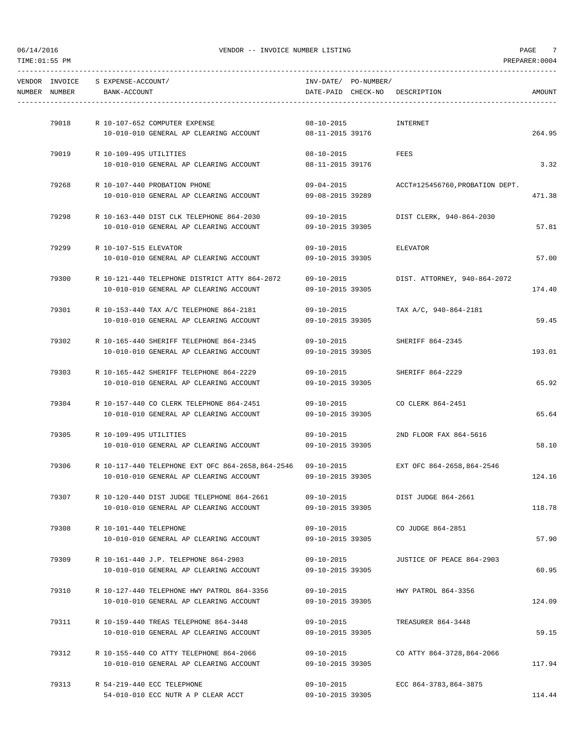| NUMBER NUMBER | VENDOR INVOICE S EXPENSE-ACCOUNT/<br>BANK-ACCOUNT                                                                                     | INV-DATE/ PO-NUMBER/                 | DATE-PAID CHECK-NO DESCRIPTION   |                                            | AMOUNT |
|---------------|---------------------------------------------------------------------------------------------------------------------------------------|--------------------------------------|----------------------------------|--------------------------------------------|--------|
|               | 79018 R 10-107-652 COMPUTER EXPENSE                                                                                                   | $08 - 10 - 2015$                     | INTERNET                         |                                            |        |
|               | 10-010-010 GENERAL AP CLEARING ACCOUNT 08-11-2015 39176                                                                               |                                      |                                  |                                            | 264.95 |
|               | 79019 R 10-109-495 UTILITIES                                                                                                          | $08 - 10 - 2015$                     | FEES                             |                                            |        |
|               | 10-010-010 GENERAL AP CLEARING ACCOUNT                                                                                                | 08-11-2015 39176                     |                                  |                                            | 3.32   |
|               | 79268 R 10-107-440 PROBATION PHONE                                                                                                    |                                      |                                  | 09-04-2015 ACCT#125456760, PROBATION DEPT. |        |
|               | 10-010-010 GENERAL AP CLEARING ACCOUNT                                                                                                | 09-08-2015 39289                     |                                  |                                            | 471.38 |
| 79298         | R 10-163-440 DIST CLK TELEPHONE 864-2030                                                                                              | 09-10-2015                           |                                  | DIST CLERK, 940-864-2030                   |        |
|               | 10-010-010 GENERAL AP CLEARING ACCOUNT                                                                                                | 09-10-2015 39305                     |                                  |                                            | 57.81  |
|               | 79299 R 10-107-515 ELEVATOR                                                                                                           |                                      | 09-10-2015 ELEVATOR              |                                            |        |
|               | 10-010-010 GENERAL AP CLEARING ACCOUNT                                                                                                | 09-10-2015 39305                     |                                  |                                            | 57.00  |
| 79300         | R 10-121-440 TELEPHONE DISTRICT ATTY 864-2072                                                                                         | 09-10-2015                           |                                  | DIST. ATTORNEY, 940-864-2072               |        |
|               | 10-010-010 GENERAL AP CLEARING ACCOUNT                                                                                                | 09-10-2015 39305                     |                                  |                                            | 174.40 |
|               | 79301 R 10-153-440 TAX A/C TELEPHONE 864-2181                                                                                         |                                      | 09-10-2015 TAX A/C, 940-864-2181 |                                            |        |
|               | 10-010-010 GENERAL AP CLEARING ACCOUNT                                                                                                | 09-10-2015 39305                     |                                  |                                            | 59.45  |
| 79302         | R 10-165-440 SHERIFF TELEPHONE 864-2345                                                                                               | $09 - 10 - 2015$                     |                                  | SHERIFF 864-2345                           |        |
|               | 10-010-010 GENERAL AP CLEARING ACCOUNT                                                                                                | 09-10-2015 39305                     |                                  |                                            | 193.01 |
| 79303         | R 10-165-442 SHERIFF TELEPHONE 864-2229                                                                                               | 09-10-2015                           |                                  | SHERIFF 864-2229                           |        |
|               | 10-010-010 GENERAL AP CLEARING ACCOUNT                                                                                                | 09-10-2015 39305                     |                                  |                                            | 65.92  |
|               | 79304 R 10-157-440 CO CLERK TELEPHONE 864-2451                                                                                        | $09 - 10 - 2015$                     |                                  | CO CLERK 864-2451                          |        |
|               | 10-010-010 GENERAL AP CLEARING ACCOUNT                                                                                                | 09-10-2015 39305                     |                                  |                                            | 65.64  |
|               | 79305 R 10-109-495 UTILITIES                                                                                                          | $09 - 10 - 2015$                     |                                  | 2ND FLOOR FAX 864-5616                     |        |
|               | 10-010-010 GENERAL AP CLEARING ACCOUNT                                                                                                | 09-10-2015 39305                     |                                  |                                            | 58.10  |
|               |                                                                                                                                       |                                      |                                  |                                            |        |
|               | 79306 R 10-117-440 TELEPHONE EXT OFC 864-2658,864-2546 09-10-2015 EXT OFC 864-2658,864-2546<br>10-010-010 GENERAL AP CLEARING ACCOUNT | 09-10-2015 39305                     |                                  |                                            | 124.16 |
|               |                                                                                                                                       |                                      |                                  |                                            |        |
| 79307         | R 10-120-440 DIST JUDGE TELEPHONE 864-2661<br>10-010-010 GENERAL AP CLEARING ACCOUNT                                                  | $09 - 10 - 2015$<br>09-10-2015 39305 |                                  | DIST JUDGE 864-2661                        | 118.78 |
|               |                                                                                                                                       |                                      |                                  |                                            |        |
| 79308         | R 10-101-440 TELEPHONE<br>10-010-010 GENERAL AP CLEARING ACCOUNT                                                                      | $09 - 10 - 2015$<br>09-10-2015 39305 |                                  | CO JUDGE 864-2851                          | 57.90  |
|               |                                                                                                                                       |                                      |                                  |                                            |        |
| 79309         | R 10-161-440 J.P. TELEPHONE 864-2903<br>10-010-010 GENERAL AP CLEARING ACCOUNT                                                        | $09 - 10 - 2015$<br>09-10-2015 39305 |                                  | JUSTICE OF PEACE 864-2903                  | 60.95  |
|               |                                                                                                                                       |                                      |                                  |                                            |        |
| 79310         | R 10-127-440 TELEPHONE HWY PATROL 864-3356                                                                                            | $09 - 10 - 2015$                     |                                  | HWY PATROL 864-3356                        |        |
|               | 10-010-010 GENERAL AP CLEARING ACCOUNT                                                                                                | 09-10-2015 39305                     |                                  |                                            | 124.09 |
| 79311         | R 10-159-440 TREAS TELEPHONE 864-3448                                                                                                 | $09 - 10 - 2015$                     |                                  | TREASURER 864-3448                         |        |
|               | 10-010-010 GENERAL AP CLEARING ACCOUNT                                                                                                | 09-10-2015 39305                     |                                  |                                            | 59.15  |
| 79312         | R 10-155-440 CO ATTY TELEPHONE 864-2066                                                                                               | $09 - 10 - 2015$                     |                                  | CO ATTY 864-3728,864-2066                  |        |
|               | 10-010-010 GENERAL AP CLEARING ACCOUNT                                                                                                | 09-10-2015 39305                     |                                  |                                            | 117.94 |
| 79313         | R 54-219-440 ECC TELEPHONE                                                                                                            | $09 - 10 - 2015$                     |                                  | ECC 864-3783,864-3875                      |        |
|               | 54-010-010 ECC NUTR A P CLEAR ACCT                                                                                                    | 09-10-2015 39305                     |                                  |                                            | 114.44 |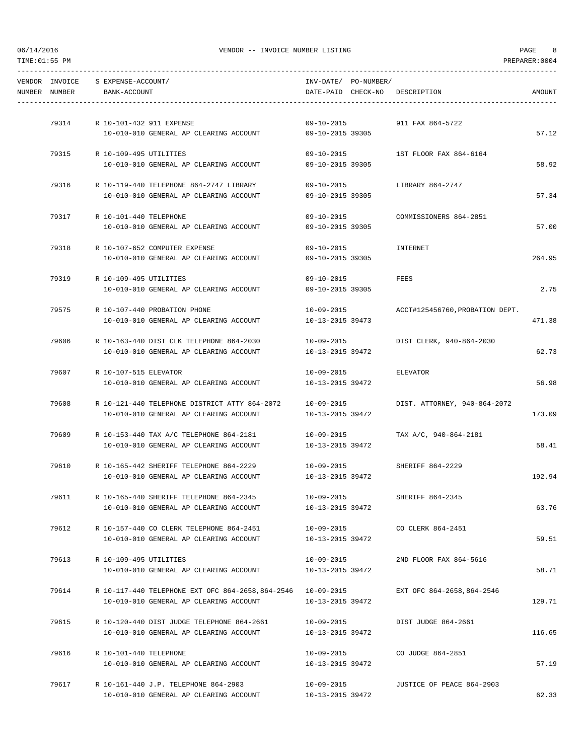| NUMBER NUMBER | VENDOR INVOICE S EXPENSE-ACCOUNT/<br>BANK-ACCOUNT |                                                                                           |                  | INV-DATE/ PO-NUMBER/ | DATE-PAID CHECK-NO DESCRIPTION      | AMOUNT |
|---------------|---------------------------------------------------|-------------------------------------------------------------------------------------------|------------------|----------------------|-------------------------------------|--------|
|               |                                                   |                                                                                           |                  |                      |                                     |        |
|               | 79314 R 10-101-432 911 EXPENSE                    |                                                                                           | $09 - 10 - 2015$ |                      | 911 FAX 864-5722                    |        |
|               |                                                   | 10-010-010 GENERAL AP CLEARING ACCOUNT                                                    | 09-10-2015 39305 |                      |                                     | 57.12  |
|               | 79315 R 10-109-495 UTILITIES                      |                                                                                           | 09-10-2015       |                      | 1ST FLOOR FAX 864-6164              |        |
|               |                                                   | 10-010-010 GENERAL AP CLEARING ACCOUNT                                                    | 09-10-2015 39305 |                      |                                     | 58.92  |
| 79316         |                                                   | R 10-119-440 TELEPHONE 864-2747 LIBRARY                                                   | 09-10-2015       |                      | LIBRARY 864-2747                    |        |
|               |                                                   | 10-010-010 GENERAL AP CLEARING ACCOUNT                                                    | 09-10-2015 39305 |                      |                                     | 57.34  |
|               | 79317 R 10-101-440 TELEPHONE                      |                                                                                           | $09 - 10 - 2015$ |                      | COMMISSIONERS 864-2851              |        |
|               |                                                   | 10-010-010 GENERAL AP CLEARING ACCOUNT                                                    | 09-10-2015 39305 |                      |                                     | 57.00  |
| 79318         |                                                   | R 10-107-652 COMPUTER EXPENSE                                                             | 09-10-2015       |                      | INTERNET                            |        |
|               |                                                   | 10-010-010 GENERAL AP CLEARING ACCOUNT                                                    | 09-10-2015 39305 |                      |                                     | 264.95 |
| 79319         | R 10-109-495 UTILITIES                            |                                                                                           | 09-10-2015       |                      | FEES                                |        |
|               |                                                   | 10-010-010 GENERAL AP CLEARING ACCOUNT                                                    | 09-10-2015 39305 |                      |                                     | 2.75   |
|               |                                                   | 79575 R 10-107-440 PROBATION PHONE                                                        | 10-09-2015       |                      | ACCT#125456760, PROBATION DEPT.     |        |
|               |                                                   | 10-010-010 GENERAL AP CLEARING ACCOUNT                                                    | 10-13-2015 39473 |                      |                                     | 471.38 |
| 79606         |                                                   | R 10-163-440 DIST CLK TELEPHONE 864-2030                                                  |                  |                      | 10-09-2015 DIST CLERK, 940-864-2030 |        |
|               |                                                   | 10-010-010 GENERAL AP CLEARING ACCOUNT                                                    | 10-13-2015 39472 |                      |                                     | 62.73  |
| 79607         | R 10-107-515 ELEVATOR                             |                                                                                           | $10 - 09 - 2015$ |                      | ELEVATOR                            |        |
|               |                                                   | 10-010-010 GENERAL AP CLEARING ACCOUNT                                                    | 10-13-2015 39472 |                      |                                     | 56.98  |
| 79608         |                                                   | R 10-121-440 TELEPHONE DISTRICT ATTY 864-2072                                             | 10-09-2015       |                      | DIST. ATTORNEY, 940-864-2072        |        |
|               |                                                   | 10-010-010 GENERAL AP CLEARING ACCOUNT                                                    | 10-13-2015 39472 |                      |                                     | 173.09 |
|               |                                                   | 79609 R 10-153-440 TAX A/C TELEPHONE 864-2181                                             | $10 - 09 - 2015$ |                      | TAX A/C, 940-864-2181               |        |
|               |                                                   | 10-010-010 GENERAL AP CLEARING ACCOUNT                                                    | 10-13-2015 39472 |                      |                                     | 58.41  |
|               |                                                   | 79610 R 10-165-442 SHERIFF TELEPHONE 864-2229                                             | 10-09-2015       |                      | SHERIFF 864-2229                    |        |
|               |                                                   | 10-010-010 GENERAL AP CLEARING ACCOUNT                                                    | 10-13-2015 39472 |                      |                                     | 192.94 |
| 79611         |                                                   | R 10-165-440 SHERIFF TELEPHONE 864-2345                                                   | 10-09-2015       |                      | SHERIFF 864-2345                    |        |
|               |                                                   | 10-010-010 GENERAL AP CLEARING ACCOUNT                                                    | 10-13-2015 39472 |                      |                                     | 63.76  |
| 79612         |                                                   | R 10-157-440 CO CLERK TELEPHONE 864-2451                                                  | 10-09-2015       |                      | CO CLERK 864-2451                   |        |
|               |                                                   | 10-010-010 GENERAL AP CLEARING ACCOUNT                                                    | 10-13-2015 39472 |                      |                                     | 59.51  |
| 79613         | R 10-109-495 UTILITIES                            |                                                                                           | 10-09-2015       |                      | 2ND FLOOR FAX 864-5616              |        |
|               |                                                   | 10-010-010 GENERAL AP CLEARING ACCOUNT                                                    | 10-13-2015 39472 |                      |                                     | 58.71  |
| 79614         |                                                   | R 10-117-440 TELEPHONE EXT OFC 864-2658,864-2546                               10-09-2015 |                  |                      | EXT OFC 864-2658,864-2546           |        |
|               |                                                   | 10-010-010 GENERAL AP CLEARING ACCOUNT                                                    | 10-13-2015 39472 |                      |                                     | 129.71 |
| 79615         |                                                   | R 10-120-440 DIST JUDGE TELEPHONE 864-2661                                                | 10-09-2015       |                      | DIST JUDGE 864-2661                 |        |
|               |                                                   | 10-010-010 GENERAL AP CLEARING ACCOUNT                                                    | 10-13-2015 39472 |                      |                                     | 116.65 |
| 79616         | R 10-101-440 TELEPHONE                            |                                                                                           | 10-09-2015       |                      | CO JUDGE 864-2851                   |        |
|               |                                                   | 10-010-010 GENERAL AP CLEARING ACCOUNT                                                    | 10-13-2015 39472 |                      |                                     | 57.19  |
| 79617         |                                                   | R 10-161-440 J.P. TELEPHONE 864-2903                                                      | 10-09-2015       |                      | JUSTICE OF PEACE 864-2903           |        |
|               |                                                   | 10-010-010 GENERAL AP CLEARING ACCOUNT                                                    | 10-13-2015 39472 |                      |                                     | 62.33  |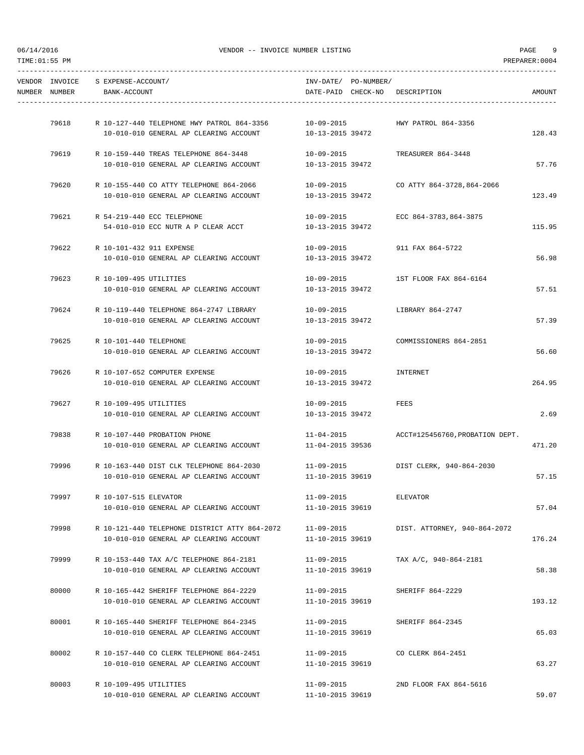|               | VENDOR INVOICE S EXPENSE-ACCOUNT/ |                                                                                                              | INV-DATE/ PO-NUMBER/           |                                     |        |
|---------------|-----------------------------------|--------------------------------------------------------------------------------------------------------------|--------------------------------|-------------------------------------|--------|
| NUMBER NUMBER | BANK-ACCOUNT                      |                                                                                                              |                                | DATE-PAID CHECK-NO DESCRIPTION      | AMOUNT |
|               |                                   |                                                                                                              |                                |                                     |        |
| 79618         |                                   | R 10-127-440 TELEPHONE HWY PATROL 864-3356 10-09-2015<br>10-010-010 GENERAL AP CLEARING ACCOUNT              | 10-13-2015 39472               | HWY PATROL 864-3356                 | 128.43 |
|               |                                   |                                                                                                              |                                |                                     |        |
|               |                                   | 79619 R 10-159-440 TREAS TELEPHONE 864-3448                                                                  | $10 - 09 - 2015$               | TREASURER 864-3448                  |        |
|               |                                   | 10-010-010 GENERAL AP CLEARING ACCOUNT                                                                       | 10-13-2015 39472               |                                     | 57.76  |
|               |                                   |                                                                                                              |                                |                                     |        |
|               |                                   | 79620 R 10-155-440 CO ATTY TELEPHONE 864-2066<br>$10-010-010$ GENERAL AP CLEARING ACCOUNT $10-13-2015$ 39472 |                                |                                     | 123.49 |
|               |                                   |                                                                                                              |                                |                                     |        |
|               |                                   | 79621 R 54-219-440 ECC TELEPHONE                                                                             | $10 - 09 - 2015$               | ECC 864-3783,864-3875               |        |
|               |                                   | 54-010-010 ECC NUTR A P CLEAR ACCT                                                                           | 10-13-2015 39472               |                                     | 115.95 |
| 79622         |                                   |                                                                                                              |                                |                                     |        |
|               | R 10-101-432 911 EXPENSE          | 10-010-010 GENERAL AP CLEARING ACCOUNT                                                                       | 10-13-2015 39472               | 10-09-2015 911 FAX 864-5722         | 56.98  |
|               |                                   |                                                                                                              |                                |                                     |        |
| 79623         | R 10-109-495 UTILITIES            |                                                                                                              | $10 - 09 - 2015$               | 1ST FLOOR FAX 864-6164              |        |
|               |                                   | 10-010-010 GENERAL AP CLEARING ACCOUNT                                                                       | 10-13-2015 39472               |                                     | 57.51  |
|               |                                   | 79624 R 10-119-440 TELEPHONE 864-2747 LIBRARY                                                                |                                | 10-09-2015 LIBRARY 864-2747         |        |
|               |                                   | 10-010-010 GENERAL AP CLEARING ACCOUNT                                                                       | 10-13-2015 39472               |                                     | 57.39  |
|               |                                   |                                                                                                              |                                |                                     |        |
|               | 79625 R 10-101-440 TELEPHONE      |                                                                                                              | 10-09-2015                     | COMMISSIONERS 864-2851              |        |
|               |                                   | 10-010-010 GENERAL AP CLEARING ACCOUNT                                                                       | 10-13-2015 39472               |                                     | 56.60  |
| 79626         |                                   | R 10-107-652 COMPUTER EXPENSE                                                                                | 10-09-2015                     | INTERNET                            |        |
|               |                                   | 10-010-010 GENERAL AP CLEARING ACCOUNT                                                                       | 10-13-2015 39472               |                                     | 264.95 |
|               |                                   |                                                                                                              |                                |                                     |        |
|               | 79627 R 10-109-495 UTILITIES      |                                                                                                              | 10-09-2015                     | FEES                                |        |
|               |                                   | 10-010-010 GENERAL AP CLEARING ACCOUNT                                                                       | 10-13-2015 39472               |                                     | 2.69   |
|               |                                   | 79838 R 10-107-440 PROBATION PHONE                                                                           | $11 - 04 - 2015$               | ACCT#125456760, PROBATION DEPT.     |        |
|               |                                   | 10-010-010 GENERAL AP CLEARING ACCOUNT                                                                       | 11-04-2015 39536               |                                     | 471.20 |
|               |                                   |                                                                                                              |                                |                                     |        |
| 79996         |                                   | R 10-163-440 DIST CLK TELEPHONE 864-2030                                                                     |                                | 11-09-2015 DIST CLERK, 940-864-2030 |        |
|               |                                   | 10-010-010 GENERAL AP CLEARING ACCOUNT                                                                       | 11-10-2015 39619               |                                     | 57.15  |
| 79997         | R 10-107-515 ELEVATOR             |                                                                                                              | $11 - 09 - 2015$               | ELEVATOR                            |        |
|               |                                   | 10-010-010 GENERAL AP CLEARING ACCOUNT                                                                       | 11-10-2015 39619               |                                     | 57.04  |
|               |                                   |                                                                                                              |                                |                                     |        |
| 79998         |                                   | R 10-121-440 TELEPHONE DISTRICT ATTY 864-2072                                                                | $11 - 09 - 2015$               | DIST. ATTORNEY, 940-864-2072        |        |
|               |                                   | 10-010-010 GENERAL AP CLEARING ACCOUNT                                                                       | 11-10-2015 39619               |                                     | 176.24 |
| 79999         |                                   | R 10-153-440 TAX A/C TELEPHONE 864-2181                                                                      | $11 - 09 - 2015$               | TAX A/C, 940-864-2181               |        |
|               |                                   | 10-010-010 GENERAL AP CLEARING ACCOUNT                                                                       | 11-10-2015 39619               |                                     | 58.38  |
|               |                                   |                                                                                                              |                                |                                     |        |
| 80000         |                                   | R 10-165-442 SHERIFF TELEPHONE 864-2229                                                                      | $11 - 09 - 2015$               | SHERIFF 864-2229                    | 193.12 |
|               |                                   | 10-010-010 GENERAL AP CLEARING ACCOUNT                                                                       | 11-10-2015 39619               |                                     |        |
| 80001         |                                   | R 10-165-440 SHERIFF TELEPHONE 864-2345                                                                      | 11-09-2015                     | SHERIFF 864-2345                    |        |
|               |                                   | 10-010-010 GENERAL AP CLEARING ACCOUNT                                                                       | 11-10-2015 39619               |                                     | 65.03  |
|               |                                   |                                                                                                              |                                |                                     |        |
| 80002         |                                   | R 10-157-440 CO CLERK TELEPHONE 864-2451<br>10-010-010 GENERAL AP CLEARING ACCOUNT                           | 11-09-2015<br>11-10-2015 39619 | CO CLERK 864-2451                   | 63.27  |
|               |                                   |                                                                                                              |                                |                                     |        |
| 80003         | R 10-109-495 UTILITIES            |                                                                                                              | $11 - 09 - 2015$               | 2ND FLOOR FAX 864-5616              |        |
|               |                                   | 10-010-010 GENERAL AP CLEARING ACCOUNT                                                                       | 11-10-2015 39619               |                                     | 59.07  |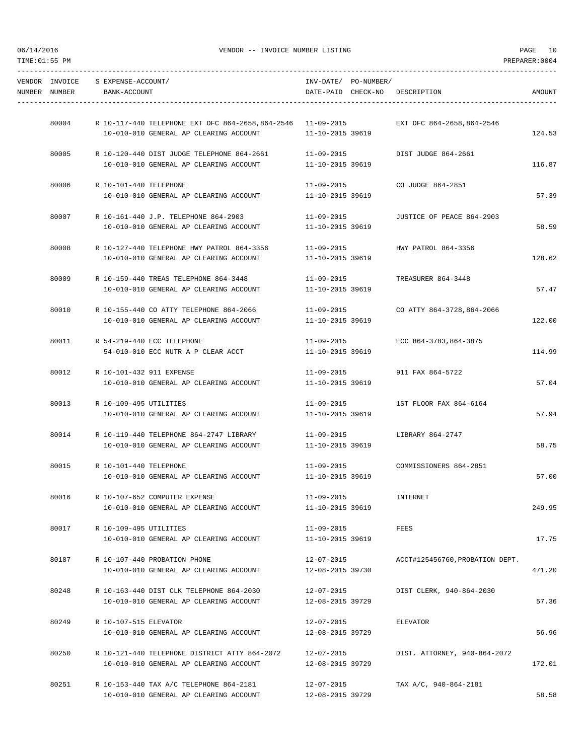| NUMBER NUMBER | VENDOR INVOICE S EXPENSE-ACCOUNT/<br>BANK-ACCOUNT                                       | INV-DATE/ PO-NUMBER/<br>DATE-PAID CHECK-NO DESCRIPTION |                                 | AMOUNT |
|---------------|-----------------------------------------------------------------------------------------|--------------------------------------------------------|---------------------------------|--------|
|               |                                                                                         |                                                        |                                 |        |
| 80004         | R 10-117-440 TELEPHONE EXT OFC 864-2658,864-2546                            11-09-2015  |                                                        | EXT OFC 864-2658,864-2546       |        |
|               | $10-010-010$ GENERAL AP CLEARING ACCOUNT $11-10-2015$ 39619                             |                                                        |                                 | 124.53 |
| 80005         | R 10-120-440 DIST JUDGE TELEPHONE 864-2661                                              | $11 - 09 - 2015$                                       | DIST JUDGE 864-2661             |        |
|               | 10-010-010 GENERAL AP CLEARING ACCOUNT                                                  | 11-10-2015 39619                                       |                                 | 116.87 |
|               | 80006 R 10-101-440 TELEPHONE                                                            | 11-09-2015 CO JUDGE 864-2851                           |                                 |        |
|               | $10-010-010$ GENERAL AP CLEARING ACCOUNT $11-10-2015$ 39619                             |                                                        |                                 | 57.39  |
|               |                                                                                         |                                                        |                                 |        |
|               | 80007 R 10-161-440 J.P. TELEPHONE 864-2903<br>10-010-010 GENERAL AP CLEARING ACCOUNT    | 11-09-2015<br>11-10-2015 39619                         | JUSTICE OF PEACE 864-2903       | 58.59  |
|               |                                                                                         |                                                        |                                 |        |
| 80008         | R 10-127-440 TELEPHONE HWY PATROL 864-3356 11-09-2015                                   |                                                        | HWY PATROL 864-3356             |        |
|               | 10-010-010 GENERAL AP CLEARING ACCOUNT                                                  | 11-10-2015 39619                                       |                                 | 128.62 |
| 80009         | R 10-159-440 TREAS TELEPHONE 864-3448                                                   | 11-09-2015                                             | TREASURER 864-3448              |        |
|               | 10-010-010 GENERAL AP CLEARING ACCOUNT                                                  | 11-10-2015 39619                                       |                                 | 57.47  |
|               | 80010 R 10-155-440 CO ATTY TELEPHONE 864-2066 11-09-2015 CO ATTY 864-3728,864-2066      |                                                        |                                 |        |
|               | 10-010-010 GENERAL AP CLEARING ACCOUNT                                                  | 11-10-2015 39619                                       |                                 | 122.00 |
|               |                                                                                         |                                                        |                                 |        |
| 80011         | R 54-219-440 ECC TELEPHONE                                                              | 11-09-2015                                             | ECC 864-3783,864-3875           |        |
|               | 54-010-010 ECC NUTR A P CLEAR ACCT                                                      | 11-10-2015 39619                                       |                                 | 114.99 |
| 80012         | R 10-101-432 911 EXPENSE                                                                | $11 - 09 - 2015$                                       | 911 FAX 864-5722                |        |
|               | 10-010-010 GENERAL AP CLEARING ACCOUNT                                                  | 11-10-2015 39619                                       |                                 | 57.04  |
| 80013         | R 10-109-495 UTILITIES                                                                  | 11-09-2015                                             | 1ST FLOOR FAX 864-6164          |        |
|               | 10-010-010 GENERAL AP CLEARING ACCOUNT                                                  | 11-10-2015 39619                                       |                                 | 57.94  |
|               |                                                                                         |                                                        |                                 |        |
|               | 80014 R 10-119-440 TELEPHONE 864-2747 LIBRARY<br>10-010-010 GENERAL AP CLEARING ACCOUNT | 11-09-2015 LIBRARY 864-2747<br>11-10-2015 39619        |                                 | 58.75  |
|               |                                                                                         |                                                        |                                 |        |
| 80015         | R 10-101-440 TELEPHONE                                                                  | $11 - 09 - 2015$                                       | COMMISSIONERS 864-2851          |        |
|               | 10-010-010 GENERAL AP CLEARING ACCOUNT                                                  | 11-10-2015 39619                                       |                                 | 57.00  |
| 80016         | R 10-107-652 COMPUTER EXPENSE                                                           | $11 - 09 - 2015$                                       | INTERNET                        |        |
|               | 10-010-010 GENERAL AP CLEARING ACCOUNT                                                  | 11-10-2015 39619                                       |                                 | 249.95 |
| 80017         | R 10-109-495 UTILITIES                                                                  | $11 - 09 - 2015$                                       | FEES                            |        |
|               | 10-010-010 GENERAL AP CLEARING ACCOUNT                                                  | 11-10-2015 39619                                       |                                 | 17.75  |
|               |                                                                                         |                                                        |                                 |        |
| 80187         | R 10-107-440 PROBATION PHONE<br>10-010-010 GENERAL AP CLEARING ACCOUNT                  | 12-07-2015<br>12-08-2015 39730                         | ACCT#125456760, PROBATION DEPT. | 471.20 |
|               |                                                                                         |                                                        |                                 |        |
| 80248         | R 10-163-440 DIST CLK TELEPHONE 864-2030                                                | $12 - 07 - 2015$                                       | DIST CLERK, 940-864-2030        |        |
|               | 10-010-010 GENERAL AP CLEARING ACCOUNT                                                  | 12-08-2015 39729                                       |                                 | 57.36  |
| 80249         | R 10-107-515 ELEVATOR                                                                   | 12-07-2015                                             | ELEVATOR                        |        |
|               | 10-010-010 GENERAL AP CLEARING ACCOUNT                                                  | 12-08-2015 39729                                       |                                 | 56.96  |
| 80250         | R 10-121-440 TELEPHONE DISTRICT ATTY 864-2072                                           | 12-07-2015                                             | DIST. ATTORNEY, 940-864-2072    |        |
|               | 10-010-010 GENERAL AP CLEARING ACCOUNT                                                  | 12-08-2015 39729                                       |                                 | 172.01 |
|               |                                                                                         |                                                        |                                 |        |
| 80251         | R 10-153-440 TAX A/C TELEPHONE 864-2181<br>10-010-010 GENERAL AP CLEARING ACCOUNT       | $12 - 07 - 2015$<br>12-08-2015 39729                   | TAX A/C, 940-864-2181           | 58.58  |
|               |                                                                                         |                                                        |                                 |        |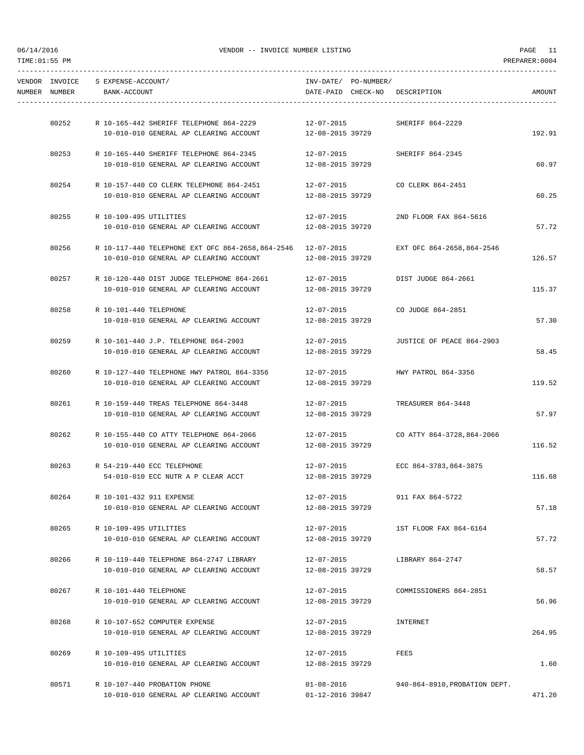| NUMBER NUMBER | VENDOR INVOICE S EXPENSE-ACCOUNT/<br>BANK-ACCOUNT |                                                                                       | INV-DATE/ PO-NUMBER/           | DATE-PAID CHECK-NO DESCRIPTION       | AMOUNT |
|---------------|---------------------------------------------------|---------------------------------------------------------------------------------------|--------------------------------|--------------------------------------|--------|
|               |                                                   |                                                                                       |                                |                                      |        |
|               |                                                   | 80252 R 10-165-442 SHERIFF TELEPHONE 864-2229 12-07-2015 SHERIFF 864-2229             |                                |                                      |        |
|               |                                                   | 10-010-010 GENERAL AP CLEARING ACCOUNT 12-08-2015 39729                               |                                |                                      | 192.91 |
|               |                                                   | 80253 R 10-165-440 SHERIFF TELEPHONE 864-2345                                         | 12-07-2015                     | SHERIFF 864-2345                     |        |
|               |                                                   | 10-010-010 GENERAL AP CLEARING ACCOUNT                                                | 12-08-2015 39729               |                                      | 60.97  |
|               |                                                   |                                                                                       |                                |                                      |        |
|               |                                                   | 80254 R 10-157-440 CO CLERK TELEPHONE 864-2451 12-07-2015 CO CLERK 864-2451           |                                |                                      |        |
|               |                                                   | 10-010-010 GENERAL AP CLEARING ACCOUNT 12-08-2015 39729                               |                                |                                      | 60.25  |
| 80255         | R 10-109-495 UTILITIES                            |                                                                                       | 12-07-2015                     | 2ND FLOOR FAX 864-5616               |        |
|               |                                                   | 10-010-010 GENERAL AP CLEARING ACCOUNT                                                | 12-08-2015 39729               |                                      | 57.72  |
|               |                                                   |                                                                                       |                                |                                      |        |
| 80256         |                                                   | R 10-117-440 TELEPHONE EXT OFC 864-2658,864-2546 12-07-2015 EXT OFC 864-2658,864-2546 |                                |                                      |        |
|               |                                                   | $10-010-010$ GENERAL AP CLEARING ACCOUNT $12-08-2015$ 39729                           |                                |                                      | 126.57 |
| 80257         |                                                   | R 10-120-440 DIST JUDGE TELEPHONE 864-2661                                            | 12-07-2015                     | DIST JUDGE 864-2661                  |        |
|               |                                                   | 10-010-010 GENERAL AP CLEARING ACCOUNT                                                | 12-08-2015 39729               |                                      | 115.37 |
|               |                                                   |                                                                                       |                                |                                      |        |
|               | 80258 R 10-101-440 TELEPHONE                      |                                                                                       |                                | 12-07-2015 CO JUDGE 864-2851         |        |
|               |                                                   | 10-010-010 GENERAL AP CLEARING ACCOUNT                                                | 12-08-2015 39729               |                                      | 57.30  |
| 80259         |                                                   | R 10-161-440 J.P. TELEPHONE 864-2903                                                  |                                | 12-07-2015 JUSTICE OF PEACE 864-2903 |        |
|               |                                                   | 10-010-010 GENERAL AP CLEARING ACCOUNT                                                | 12-08-2015 39729               |                                      | 58.45  |
|               |                                                   |                                                                                       |                                |                                      |        |
| 80260         |                                                   | R 10-127-440 TELEPHONE HWY PATROL 864-3356                                            | $12 - 07 - 2015$               | HWY PATROL 864-3356                  |        |
|               |                                                   | 10-010-010 GENERAL AP CLEARING ACCOUNT                                                | 12-08-2015 39729               |                                      | 119.52 |
|               |                                                   | 80261 R 10-159-440 TREAS TELEPHONE 864-3448                                           | 12-07-2015                     | TREASURER 864-3448                   |        |
|               |                                                   | 10-010-010 GENERAL AP CLEARING ACCOUNT                                                | 12-08-2015 39729               |                                      | 57.97  |
|               |                                                   |                                                                                       |                                |                                      |        |
|               |                                                   | 80262 R 10-155-440 CO ATTY TELEPHONE 864-2066                                         |                                | 12-07-2015 CO ATTY 864-3728,864-2066 |        |
|               |                                                   | 10-010-010 GENERAL AP CLEARING ACCOUNT                                                | 12-08-2015 39729               |                                      | 116.52 |
|               |                                                   | 80263 R 54-219-440 ECC TELEPHONE                                                      |                                | 12-07-2015 ECC 864-3783,864-3875     |        |
|               |                                                   | 54-010-010 ECC NUTR A P CLEAR ACCT                                                    | 12-08-2015 39729               |                                      | 116.68 |
|               |                                                   |                                                                                       |                                |                                      |        |
| 80264         |                                                   | R 10-101-432 911 EXPENSE                                                              | $12 - 07 - 2015$               | 911 FAX 864-5722                     |        |
|               |                                                   | 10-010-010 GENERAL AP CLEARING ACCOUNT                                                | 12-08-2015 39729               |                                      | 57.18  |
| 80265         | R 10-109-495 UTILITIES                            |                                                                                       | $12 - 07 - 2015$               | 1ST FLOOR FAX 864-6164               |        |
|               |                                                   | 10-010-010 GENERAL AP CLEARING ACCOUNT                                                | 12-08-2015 39729               |                                      | 57.72  |
|               |                                                   |                                                                                       |                                |                                      |        |
| 80266         |                                                   | R 10-119-440 TELEPHONE 864-2747 LIBRARY                                               | 12-07-2015                     | LIBRARY 864-2747                     |        |
|               |                                                   | 10-010-010 GENERAL AP CLEARING ACCOUNT                                                | 12-08-2015 39729               |                                      | 58.57  |
| 80267         | R 10-101-440 TELEPHONE                            |                                                                                       | 12-07-2015                     | COMMISSIONERS 864-2851               |        |
|               |                                                   | 10-010-010 GENERAL AP CLEARING ACCOUNT                                                | 12-08-2015 39729               |                                      | 56.96  |
|               |                                                   |                                                                                       |                                |                                      |        |
| 80268         |                                                   | R 10-107-652 COMPUTER EXPENSE                                                         | 12-07-2015                     | INTERNET                             |        |
|               |                                                   | 10-010-010 GENERAL AP CLEARING ACCOUNT                                                | 12-08-2015 39729               |                                      | 264.95 |
|               |                                                   |                                                                                       |                                |                                      |        |
| 80269         | R 10-109-495 UTILITIES                            | 10-010-010 GENERAL AP CLEARING ACCOUNT                                                | 12-07-2015<br>12-08-2015 39729 | FEES                                 | 1.60   |
|               |                                                   |                                                                                       |                                |                                      |        |
| 80571         |                                                   | R 10-107-440 PROBATION PHONE                                                          | $01 - 08 - 2016$               | 940-864-8910, PROBATION DEPT.        |        |
|               |                                                   |                                                                                       |                                |                                      |        |

10-010-010 GENERAL AP CLEARING ACCOUNT 01-12-2016 39847 471.20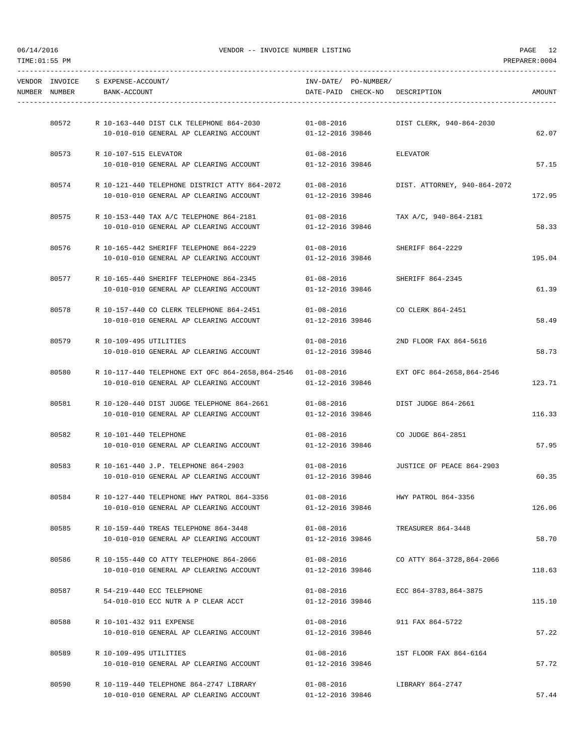| TIME: 01:55 PM |                                 |                                    |                                                  |                  |                      |                                | PREPARER: 0004 |
|----------------|---------------------------------|------------------------------------|--------------------------------------------------|------------------|----------------------|--------------------------------|----------------|
|                | VENDOR INVOICE<br>NUMBER NUMBER | S EXPENSE-ACCOUNT/<br>BANK-ACCOUNT |                                                  |                  | INV-DATE/ PO-NUMBER/ | DATE-PAID CHECK-NO DESCRIPTION | AMOUNT         |
|                |                                 |                                    |                                                  |                  |                      |                                |                |
|                | 80572                           |                                    | R 10-163-440 DIST CLK TELEPHONE 864-2030         | $01 - 08 - 2016$ |                      | DIST CLERK, 940-864-2030       |                |
|                |                                 |                                    | 10-010-010 GENERAL AP CLEARING ACCOUNT           | 01-12-2016 39846 |                      |                                | 62.07          |
|                | 80573                           | R 10-107-515 ELEVATOR              |                                                  | $01 - 08 - 2016$ |                      | ELEVATOR                       |                |
|                |                                 |                                    | 10-010-010 GENERAL AP CLEARING ACCOUNT           | 01-12-2016 39846 |                      |                                | 57.15          |
|                | 80574                           |                                    | R 10-121-440 TELEPHONE DISTRICT ATTY 864-2072    | $01 - 08 - 2016$ |                      | DIST. ATTORNEY, 940-864-2072   |                |
|                |                                 |                                    | 10-010-010 GENERAL AP CLEARING ACCOUNT           | 01-12-2016 39846 |                      |                                | 172.95         |
|                | 80575                           |                                    | R 10-153-440 TAX A/C TELEPHONE 864-2181          | $01 - 08 - 2016$ |                      | TAX A/C, 940-864-2181          |                |
|                |                                 |                                    | 10-010-010 GENERAL AP CLEARING ACCOUNT           | 01-12-2016 39846 |                      |                                | 58.33          |
|                | 80576                           |                                    | R 10-165-442 SHERIFF TELEPHONE 864-2229          | $01 - 08 - 2016$ |                      | SHERIFF 864-2229               |                |
|                |                                 |                                    | 10-010-010 GENERAL AP CLEARING ACCOUNT           | 01-12-2016 39846 |                      |                                | 195.04         |
|                | 80577                           |                                    | R 10-165-440 SHERIFF TELEPHONE 864-2345          | 01-08-2016       |                      | SHERIFF 864-2345               |                |
|                |                                 |                                    | 10-010-010 GENERAL AP CLEARING ACCOUNT           | 01-12-2016 39846 |                      |                                | 61.39          |
|                | 80578                           |                                    | R 10-157-440 CO CLERK TELEPHONE 864-2451         | $01 - 08 - 2016$ |                      | CO CLERK 864-2451              |                |
|                |                                 |                                    | 10-010-010 GENERAL AP CLEARING ACCOUNT           | 01-12-2016 39846 |                      |                                | 58.49          |
|                | 80579                           | R 10-109-495 UTILITIES             |                                                  | $01 - 08 - 2016$ |                      | 2ND FLOOR FAX 864-5616         |                |
|                |                                 |                                    | 10-010-010 GENERAL AP CLEARING ACCOUNT           | 01-12-2016 39846 |                      |                                | 58.73          |
|                | 80580                           |                                    | R 10-117-440 TELEPHONE EXT OFC 864-2658,864-2546 | $01 - 08 - 2016$ |                      | EXT OFC 864-2658,864-2546      |                |
|                |                                 |                                    | 10-010-010 GENERAL AP CLEARING ACCOUNT           | 01-12-2016 39846 |                      |                                | 123.71         |
|                | 80581                           |                                    | R 10-120-440 DIST JUDGE TELEPHONE 864-2661       | $01 - 08 - 2016$ |                      | DIST JUDGE 864-2661            |                |
|                |                                 |                                    | 10-010-010 GENERAL AP CLEARING ACCOUNT           | 01-12-2016 39846 |                      |                                | 116.33         |
|                | 80582                           | R 10-101-440 TELEPHONE             |                                                  | $01 - 08 - 2016$ |                      | CO JUDGE 864-2851              |                |
|                |                                 |                                    | 10-010-010 GENERAL AP CLEARING ACCOUNT           | 01-12-2016 39846 |                      |                                | 57.95          |
|                | 80583                           |                                    | R 10-161-440 J.P. TELEPHONE 864-2903             | $01 - 08 - 2016$ |                      | JUSTICE OF PEACE 864-2903      |                |
|                |                                 |                                    | 10-010-010 GENERAL AP CLEARING ACCOUNT           | 01-12-2016 39846 |                      |                                | 60.35          |
|                | 80584                           |                                    | R 10-127-440 TELEPHONE HWY PATROL 864-3356       | $01 - 08 - 2016$ |                      | HWY PATROL 864-3356            |                |
|                |                                 |                                    | 10-010-010 GENERAL AP CLEARING ACCOUNT           | 01-12-2016 39846 |                      |                                | 126.06         |
|                | 80585                           |                                    | R 10-159-440 TREAS TELEPHONE 864-3448            | $01 - 08 - 2016$ |                      | TREASURER 864-3448             |                |
|                |                                 |                                    | 10-010-010 GENERAL AP CLEARING ACCOUNT           | 01-12-2016 39846 |                      |                                | 58.70          |
|                | 80586                           |                                    | R 10-155-440 CO ATTY TELEPHONE 864-2066          | 01-08-2016       |                      | CO ATTY 864-3728,864-2066      |                |
|                |                                 |                                    | 10-010-010 GENERAL AP CLEARING ACCOUNT           | 01-12-2016 39846 |                      |                                | 118.63         |
|                | 80587                           |                                    | R 54-219-440 ECC TELEPHONE                       | 01-08-2016       |                      | ECC 864-3783.864-3875          |                |
|                |                                 |                                    | 54-010-010 ECC NUTR A P CLEAR ACCT               | 01-12-2016 39846 |                      |                                | 115.10         |
|                | 80588                           | R 10-101-432 911 EXPENSE           |                                                  | $01 - 08 - 2016$ |                      | 911 FAX 864-5722               |                |
|                |                                 |                                    | 10-010-010 GENERAL AP CLEARING ACCOUNT           | 01-12-2016 39846 |                      |                                | 57.22          |
|                | 80589                           | R 10-109-495 UTILITIES             |                                                  | $01 - 08 - 2016$ |                      | 1ST FLOOR FAX 864-6164         |                |
|                |                                 |                                    | 10-010-010 GENERAL AP CLEARING ACCOUNT           | 01-12-2016 39846 |                      |                                | 57.72          |
|                | 80590                           |                                    | R 10-119-440 TELEPHONE 864-2747 LIBRARY          | 01-08-2016       |                      | LIBRARY 864-2747               |                |
|                |                                 |                                    | 10-010-010 GENERAL AP CLEARING ACCOUNT           | 01-12-2016 39846 |                      |                                | 57.44          |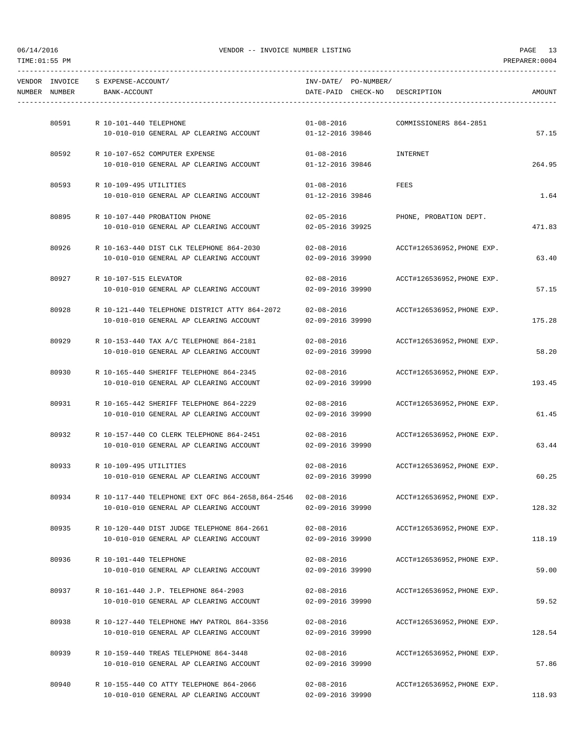|               | VENDOR INVOICE S EXPENSE-ACCOUNT/ |                                                                                         |                                      | INV-DATE/ PO-NUMBER/ |                                       |        |
|---------------|-----------------------------------|-----------------------------------------------------------------------------------------|--------------------------------------|----------------------|---------------------------------------|--------|
| NUMBER NUMBER | BANK-ACCOUNT                      |                                                                                         |                                      |                      | DATE-PAID CHECK-NO DESCRIPTION        | AMOUNT |
|               |                                   |                                                                                         |                                      |                      |                                       |        |
|               | 80591 R 10-101-440 TELEPHONE      |                                                                                         | $01 - 08 - 2016$                     |                      | COMMISSIONERS 864-2851                |        |
|               |                                   | 10-010-010 GENERAL AP CLEARING ACCOUNT 01-12-2016 39846                                 |                                      |                      |                                       | 57.15  |
| 80592         |                                   | R 10-107-652 COMPUTER EXPENSE                                                           | $01 - 08 - 2016$                     |                      | INTERNET                              |        |
|               |                                   | 10-010-010 GENERAL AP CLEARING ACCOUNT                                                  | 01-12-2016 39846                     |                      |                                       | 264.95 |
|               | 80593 R 10-109-495 UTILITIES      |                                                                                         | $01 - 08 - 2016$                     |                      | FEES                                  |        |
|               |                                   | 10-010-010 GENERAL AP CLEARING ACCOUNT                                                  | 01-12-2016 39846                     |                      |                                       | 1.64   |
| 80895         |                                   | R 10-107-440 PROBATION PHONE                                                            | $02 - 05 - 2016$                     |                      | PHONE, PROBATION DEPT.                |        |
|               |                                   | 10-010-010 GENERAL AP CLEARING ACCOUNT                                                  | 02-05-2016 39925                     |                      |                                       | 471.83 |
|               |                                   |                                                                                         |                                      |                      |                                       |        |
| 80926         |                                   | R 10-163-440 DIST CLK TELEPHONE 864-2030                                                | $02 - 08 - 2016$                     |                      | ACCT#126536952,PHONE EXP.             |        |
|               |                                   | 10-010-010 GENERAL AP CLEARING ACCOUNT                                                  | 02-09-2016 39990                     |                      |                                       | 63.40  |
| 80927         | R 10-107-515 ELEVATOR             |                                                                                         | $02 - 08 - 2016$                     |                      | ACCT#126536952,PHONE EXP.             |        |
|               |                                   | 10-010-010 GENERAL AP CLEARING ACCOUNT                                                  | 02-09-2016 39990                     |                      |                                       | 57.15  |
| 80928         |                                   | R 10-121-440 TELEPHONE DISTRICT ATTY 864-2072 02-08-2016 ACCT#126536952, PHONE EXP.     |                                      |                      |                                       |        |
|               |                                   | 10-010-010 GENERAL AP CLEARING ACCOUNT                                                  | 02-09-2016 39990                     |                      |                                       | 175.28 |
|               |                                   |                                                                                         |                                      |                      |                                       |        |
| 80929         |                                   | R 10-153-440 TAX A/C TELEPHONE 864-2181                                                 | $02 - 08 - 2016$                     |                      | ACCT#126536952,PHONE EXP.             |        |
|               |                                   | 10-010-010 GENERAL AP CLEARING ACCOUNT                                                  | 02-09-2016 39990                     |                      |                                       | 58.20  |
| 80930         |                                   | R 10-165-440 SHERIFF TELEPHONE 864-2345                                                 | 02-08-2016                           |                      | ACCT#126536952, PHONE EXP.            |        |
|               |                                   | 10-010-010 GENERAL AP CLEARING ACCOUNT                                                  | 02-09-2016 39990                     |                      |                                       | 193.45 |
|               |                                   |                                                                                         |                                      |                      |                                       |        |
|               |                                   | 80931 R 10-165-442 SHERIFF TELEPHONE 864-2229<br>10-010-010 GENERAL AP CLEARING ACCOUNT | $02 - 08 - 2016$<br>02-09-2016 39990 |                      | ACCT#126536952,PHONE EXP.             | 61.45  |
|               |                                   |                                                                                         |                                      |                      |                                       |        |
|               |                                   | 80932 R 10-157-440 CO CLERK TELEPHONE 864-2451                                          |                                      |                      | 02-08-2016 ACCT#126536952, PHONE EXP. |        |
|               |                                   | 10-010-010 GENERAL AP CLEARING ACCOUNT                                                  | 02-09-2016 39990                     |                      |                                       | 63.44  |
|               | 80933 R 10-109-495 UTILITIES      |                                                                                         |                                      |                      | 02-08-2016 ACCT#126536952, PHONE EXP. |        |
|               |                                   | 10-010-010 GENERAL AP CLEARING ACCOUNT                                                  | $02 - 09 - 2016$ 39990               |                      |                                       | 60.25  |
|               |                                   |                                                                                         |                                      |                      |                                       |        |
| 80934         |                                   | R 10-117-440 TELEPHONE EXT OFC 864-2658, 864-2546 02-08-2016                            |                                      |                      | ACCT#126536952, PHONE EXP.            |        |
|               |                                   | 10-010-010 GENERAL AP CLEARING ACCOUNT                                                  | 02-09-2016 39990                     |                      |                                       | 128.32 |
| 80935         |                                   | R 10-120-440 DIST JUDGE TELEPHONE 864-2661                                              | 02-08-2016                           |                      | ACCT#126536952, PHONE EXP.            |        |
|               |                                   | 10-010-010 GENERAL AP CLEARING ACCOUNT                                                  | 02-09-2016 39990                     |                      |                                       | 118.19 |
| 80936         | R 10-101-440 TELEPHONE            |                                                                                         | $02 - 08 - 2016$                     |                      | ACCT#126536952, PHONE EXP.            |        |
|               |                                   | 10-010-010 GENERAL AP CLEARING ACCOUNT                                                  | 02-09-2016 39990                     |                      |                                       | 59.00  |
|               |                                   |                                                                                         |                                      |                      |                                       |        |
| 80937         |                                   | R 10-161-440 J.P. TELEPHONE 864-2903                                                    | $02 - 08 - 2016$                     |                      | ACCT#126536952, PHONE EXP.            |        |
|               |                                   | 10-010-010 GENERAL AP CLEARING ACCOUNT                                                  | 02-09-2016 39990                     |                      |                                       | 59.52  |
| 80938         |                                   | R 10-127-440 TELEPHONE HWY PATROL 864-3356                                              | 02-08-2016                           |                      | ACCT#126536952, PHONE EXP.            |        |
|               |                                   | 10-010-010 GENERAL AP CLEARING ACCOUNT                                                  | 02-09-2016 39990                     |                      |                                       | 128.54 |
|               |                                   |                                                                                         |                                      |                      |                                       |        |
| 80939         |                                   | R 10-159-440 TREAS TELEPHONE 864-3448<br>10-010-010 GENERAL AP CLEARING ACCOUNT         | $02 - 08 - 2016$<br>02-09-2016 39990 |                      | ACCT#126536952, PHONE EXP.            | 57.86  |
|               |                                   |                                                                                         |                                      |                      |                                       |        |
| 80940         |                                   | R 10-155-440 CO ATTY TELEPHONE 864-2066                                                 | $02 - 08 - 2016$                     |                      | ACCT#126536952, PHONE EXP.            |        |

10-010-010 GENERAL AP CLEARING ACCOUNT 02-09-2016 39990 118.93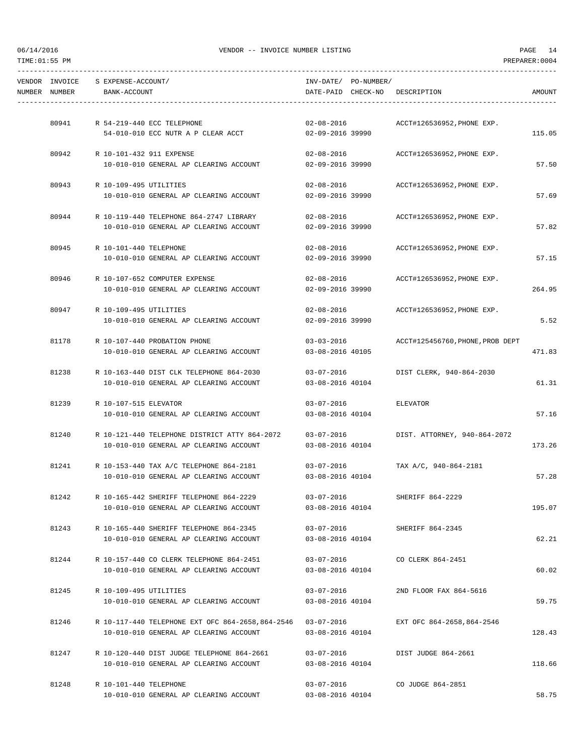|               | VENDOR INVOICE S EXPENSE-ACCOUNT/ |                                                                                         |                                      | INV-DATE/ PO-NUMBER/ |                                  |        |
|---------------|-----------------------------------|-----------------------------------------------------------------------------------------|--------------------------------------|----------------------|----------------------------------|--------|
| NUMBER NUMBER | BANK-ACCOUNT                      |                                                                                         |                                      |                      | DATE-PAID CHECK-NO DESCRIPTION   | AMOUNT |
|               |                                   |                                                                                         |                                      |                      |                                  |        |
|               |                                   |                                                                                         |                                      |                      |                                  |        |
|               |                                   | 80941 R 54-219-440 ECC TELEPHONE                                                        | $02 - 08 - 2016$                     |                      | ACCT#126536952,PHONE EXP.        |        |
|               |                                   | 54-010-010 ECC NUTR A P CLEAR ACCT                                                      | 02-09-2016 39990                     |                      |                                  | 115.05 |
|               | 80942 R 10-101-432 911 EXPENSE    |                                                                                         | $02 - 08 - 2016$                     |                      | ACCT#126536952,PHONE EXP.        |        |
|               |                                   | 10-010-010 GENERAL AP CLEARING ACCOUNT                                                  | 02-09-2016 39990                     |                      |                                  | 57.50  |
|               |                                   |                                                                                         |                                      |                      |                                  |        |
| 80943         | R 10-109-495 UTILITIES            |                                                                                         | $02 - 08 - 2016$                     |                      | ACCT#126536952, PHONE EXP.       |        |
|               |                                   | 10-010-010 GENERAL AP CLEARING ACCOUNT                                                  | 02-09-2016 39990                     |                      |                                  | 57.69  |
|               |                                   | 80944 R 10-119-440 TELEPHONE 864-2747 LIBRARY                                           | $02 - 08 - 2016$                     |                      | ACCT#126536952, PHONE EXP.       |        |
|               |                                   | 10-010-010 GENERAL AP CLEARING ACCOUNT                                                  | 02-09-2016 39990                     |                      |                                  | 57.82  |
|               |                                   |                                                                                         |                                      |                      |                                  |        |
| 80945         | R 10-101-440 TELEPHONE            |                                                                                         | 02-08-2016                           |                      | ACCT#126536952, PHONE EXP.       |        |
|               |                                   | 10-010-010 GENERAL AP CLEARING ACCOUNT                                                  | 02-09-2016 39990                     |                      |                                  | 57.15  |
| 80946         |                                   | R 10-107-652 COMPUTER EXPENSE                                                           | $02 - 08 - 2016$                     |                      | ACCT#126536952,PHONE EXP.        |        |
|               |                                   | 10-010-010 GENERAL AP CLEARING ACCOUNT                                                  | 02-09-2016 39990                     |                      |                                  | 264.95 |
|               |                                   |                                                                                         |                                      |                      |                                  |        |
| 80947         | R 10-109-495 UTILITIES            |                                                                                         | 02-08-2016                           |                      | ACCT#126536952,PHONE EXP.        |        |
|               |                                   | 10-010-010 GENERAL AP CLEARING ACCOUNT                                                  | 02-09-2016 39990                     |                      |                                  | 5.52   |
| 81178         |                                   |                                                                                         | $03 - 03 - 2016$                     |                      | ACCT#125456760, PHONE, PROB DEPT |        |
|               |                                   | R 10-107-440 PROBATION PHONE<br>10-010-010 GENERAL AP CLEARING ACCOUNT                  | 03-08-2016 40105                     |                      |                                  | 471.83 |
|               |                                   |                                                                                         |                                      |                      |                                  |        |
| 81238         |                                   | R 10-163-440 DIST CLK TELEPHONE 864-2030                                                | $03 - 07 - 2016$                     |                      | DIST CLERK, 940-864-2030         |        |
|               |                                   | 10-010-010 GENERAL AP CLEARING ACCOUNT                                                  | 03-08-2016 40104                     |                      |                                  | 61.31  |
| 81239         | R 10-107-515 ELEVATOR             |                                                                                         | 03-07-2016                           |                      | ELEVATOR                         |        |
|               |                                   | 10-010-010 GENERAL AP CLEARING ACCOUNT                                                  | 03-08-2016 40104                     |                      |                                  | 57.16  |
|               |                                   |                                                                                         |                                      |                      |                                  |        |
| 81240         |                                   | R 10-121-440 TELEPHONE DISTRICT ATTY 864-2072                                           | $03 - 07 - 2016$                     |                      | DIST. ATTORNEY, 940-864-2072     |        |
|               |                                   | 10-010-010 GENERAL AP CLEARING ACCOUNT                                                  | 03-08-2016 40104                     |                      |                                  | 173.26 |
|               |                                   |                                                                                         |                                      |                      |                                  |        |
|               |                                   | 81241 R 10-153-440 TAX A/C TELEPHONE 864-2181<br>10-010-010 GENERAL AP CLEARING ACCOUNT | 03-07-2016<br>03-08-2016 40104       |                      | TAX A/C, 940-864-2181            | 57.28  |
|               |                                   |                                                                                         |                                      |                      |                                  |        |
| 81242         |                                   | R 10-165-442 SHERIFF TELEPHONE 864-2229                                                 | $03 - 07 - 2016$                     |                      | SHERIFF 864-2229                 |        |
|               |                                   | 10-010-010 GENERAL AP CLEARING ACCOUNT                                                  | 03-08-2016 40104                     |                      |                                  | 195.07 |
|               |                                   |                                                                                         |                                      |                      |                                  |        |
| 81243         |                                   | R 10-165-440 SHERIFF TELEPHONE 864-2345<br>10-010-010 GENERAL AP CLEARING ACCOUNT       | $03 - 07 - 2016$<br>03-08-2016 40104 |                      | SHERIFF 864-2345                 | 62.21  |
|               |                                   |                                                                                         |                                      |                      |                                  |        |
| 81244         |                                   | R 10-157-440 CO CLERK TELEPHONE 864-2451                                                | 03-07-2016                           |                      | CO CLERK 864-2451                |        |
|               |                                   | 10-010-010 GENERAL AP CLEARING ACCOUNT                                                  | 03-08-2016 40104                     |                      |                                  | 60.02  |
|               |                                   |                                                                                         |                                      |                      |                                  |        |
| 81245         | R 10-109-495 UTILITIES            |                                                                                         | 03-07-2016                           |                      | 2ND FLOOR FAX 864-5616           |        |
|               |                                   | 10-010-010 GENERAL AP CLEARING ACCOUNT                                                  | 03-08-2016 40104                     |                      |                                  | 59.75  |
| 81246         |                                   | R 10-117-440 TELEPHONE EXT OFC 864-2658,864-2546                                        | 03-07-2016                           |                      | EXT OFC 864-2658,864-2546        |        |
|               |                                   | 10-010-010 GENERAL AP CLEARING ACCOUNT                                                  | 03-08-2016 40104                     |                      |                                  | 128.43 |
|               |                                   |                                                                                         |                                      |                      |                                  |        |
| 81247         |                                   | R 10-120-440 DIST JUDGE TELEPHONE 864-2661                                              | 03-07-2016                           |                      | DIST JUDGE 864-2661              |        |
|               |                                   | 10-010-010 GENERAL AP CLEARING ACCOUNT                                                  | 03-08-2016 40104                     |                      |                                  | 118.66 |
| 81248         | R 10-101-440 TELEPHONE            |                                                                                         | $03 - 07 - 2016$                     |                      | CO JUDGE 864-2851                |        |
|               |                                   |                                                                                         |                                      |                      |                                  |        |

10-010-010 GENERAL AP CLEARING ACCOUNT 03-08-2016 40104 58.75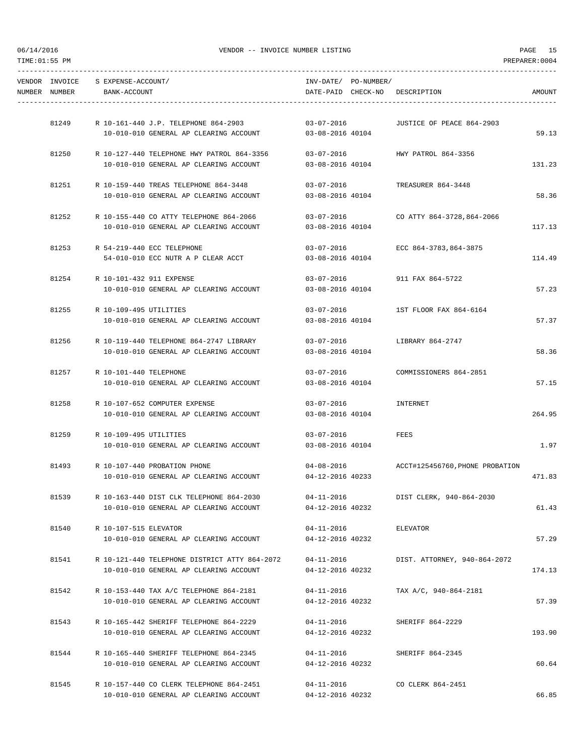|               | VENDOR INVOICE S EXPENSE-ACCOUNT/ |                                                                                    | INV-DATE/ PO-NUMBER/                 |                                   |        |
|---------------|-----------------------------------|------------------------------------------------------------------------------------|--------------------------------------|-----------------------------------|--------|
| NUMBER NUMBER | BANK-ACCOUNT                      |                                                                                    |                                      | DATE-PAID CHECK-NO DESCRIPTION    | AMOUNT |
|               |                                   |                                                                                    |                                      |                                   |        |
|               |                                   | 81249 R 10-161-440 J.P. TELEPHONE 864-2903                                         | $03 - 07 - 2016$                     | JUSTICE OF PEACE 864-2903         |        |
|               |                                   | 10-010-010 GENERAL AP CLEARING ACCOUNT 03-08-2016 40104                            |                                      |                                   | 59.13  |
| 81250         |                                   | R 10-127-440 TELEPHONE HWY PATROL 864-3356                                         | $03 - 07 - 2016$                     | HWY PATROL 864-3356               |        |
|               |                                   | 10-010-010 GENERAL AP CLEARING ACCOUNT                                             | 03-08-2016 40104                     |                                   | 131.23 |
|               |                                   | 81251 R 10-159-440 TREAS TELEPHONE 864-3448                                        |                                      | 03-07-2016 TREASURER 864-3448     |        |
|               |                                   | 10-010-010 GENERAL AP CLEARING ACCOUNT                                             | 03-08-2016 40104                     |                                   | 58.36  |
|               |                                   |                                                                                    |                                      |                                   |        |
|               |                                   | 81252 R 10-155-440 CO ATTY TELEPHONE 864-2066                                      | $03 - 07 - 2016$                     | CO ATTY 864-3728,864-2066         |        |
|               |                                   | 10-010-010 GENERAL AP CLEARING ACCOUNT                                             | 03-08-2016 40104                     |                                   | 117.13 |
|               |                                   | 81253 R 54-219-440 ECC TELEPHONE                                                   |                                      | 03-07-2016 ECC 864-3783,864-3875  |        |
|               |                                   | 54-010-010 ECC NUTR A P CLEAR ACCT                                                 | 03-08-2016 40104                     |                                   | 114.49 |
|               |                                   |                                                                                    |                                      |                                   |        |
|               | 81254 R 10-101-432 911 EXPENSE    |                                                                                    | 03-07-2016                           | 911 FAX 864-5722                  |        |
|               |                                   | 10-010-010 GENERAL AP CLEARING ACCOUNT                                             | 03-08-2016 40104                     |                                   | 57.23  |
|               | 81255 R 10-109-495 UTILITIES      |                                                                                    |                                      | 03-07-2016 1ST FLOOR FAX 864-6164 |        |
|               |                                   | 10-010-010 GENERAL AP CLEARING ACCOUNT                                             | 03-08-2016 40104                     |                                   | 57.37  |
| 81256         |                                   | R 10-119-440 TELEPHONE 864-2747 LIBRARY                                            | $03 - 07 - 2016$                     | LIBRARY 864-2747                  |        |
|               |                                   | 10-010-010 GENERAL AP CLEARING ACCOUNT                                             | 03-08-2016 40104                     |                                   | 58.36  |
|               |                                   |                                                                                    |                                      |                                   |        |
| 81257         | R 10-101-440 TELEPHONE            |                                                                                    | 03-07-2016                           | COMMISSIONERS 864-2851            |        |
|               |                                   | 10-010-010 GENERAL AP CLEARING ACCOUNT                                             | 03-08-2016 40104                     |                                   | 57.15  |
| 81258         |                                   | R 10-107-652 COMPUTER EXPENSE                                                      | 03-07-2016                           | INTERNET                          |        |
|               |                                   | 10-010-010 GENERAL AP CLEARING ACCOUNT                                             | 03-08-2016 40104                     |                                   | 264.95 |
|               |                                   |                                                                                    |                                      |                                   |        |
|               | 81259 R 10-109-495 UTILITIES      |                                                                                    | 03-07-2016                           | FEES                              | 1.97   |
|               |                                   | 10-010-010 GENERAL AP CLEARING ACCOUNT                                             | 03-08-2016 40104                     |                                   |        |
|               |                                   | 81493 R 10-107-440 PROBATION PHONE                                                 |                                      |                                   |        |
|               |                                   | 10-010-010 GENERAL AP CLEARING ACCOUNT                                             | $04 - 12 - 2016$ 40233               |                                   | 471.83 |
| 81539         |                                   | R 10-163-440 DIST CLK TELEPHONE 864-2030                                           | $04 - 11 - 2016$                     | DIST CLERK, 940-864-2030          |        |
|               |                                   | 10-010-010 GENERAL AP CLEARING ACCOUNT                                             | 04-12-2016 40232                     |                                   | 61.43  |
|               |                                   |                                                                                    |                                      |                                   |        |
| 81540         | R 10-107-515 ELEVATOR             |                                                                                    | $04 - 11 - 2016$<br>04-12-2016 40232 | ELEVATOR                          | 57.29  |
|               |                                   | 10-010-010 GENERAL AP CLEARING ACCOUNT                                             |                                      |                                   |        |
| 81541         |                                   | R 10-121-440 TELEPHONE DISTRICT ATTY 864-2072                                      | 04-11-2016                           | DIST. ATTORNEY, 940-864-2072      |        |
|               |                                   | 10-010-010 GENERAL AP CLEARING ACCOUNT                                             | 04-12-2016 40232                     |                                   | 174.13 |
| 81542         |                                   | R 10-153-440 TAX A/C TELEPHONE 864-2181                                            | 04-11-2016                           | TAX A/C, 940-864-2181             |        |
|               |                                   | 10-010-010 GENERAL AP CLEARING ACCOUNT                                             | 04-12-2016 40232                     |                                   | 57.39  |
|               |                                   |                                                                                    |                                      |                                   |        |
| 81543         |                                   | R 10-165-442 SHERIFF TELEPHONE 864-2229                                            | 04-11-2016                           | SHERIFF 864-2229                  |        |
|               |                                   | 10-010-010 GENERAL AP CLEARING ACCOUNT                                             | 04-12-2016 40232                     |                                   | 193.90 |
| 81544         |                                   | R 10-165-440 SHERIFF TELEPHONE 864-2345                                            | $04 - 11 - 2016$                     | SHERIFF 864-2345                  |        |
|               |                                   | 10-010-010 GENERAL AP CLEARING ACCOUNT                                             | 04-12-2016 40232                     |                                   | 60.64  |
|               |                                   |                                                                                    |                                      |                                   |        |
| 81545         |                                   | R 10-157-440 CO CLERK TELEPHONE 864-2451<br>10-010-010 GENERAL AP CLEARING ACCOUNT | $04 - 11 - 2016$<br>04-12-2016 40232 | CO CLERK 864-2451                 | 66.85  |
|               |                                   |                                                                                    |                                      |                                   |        |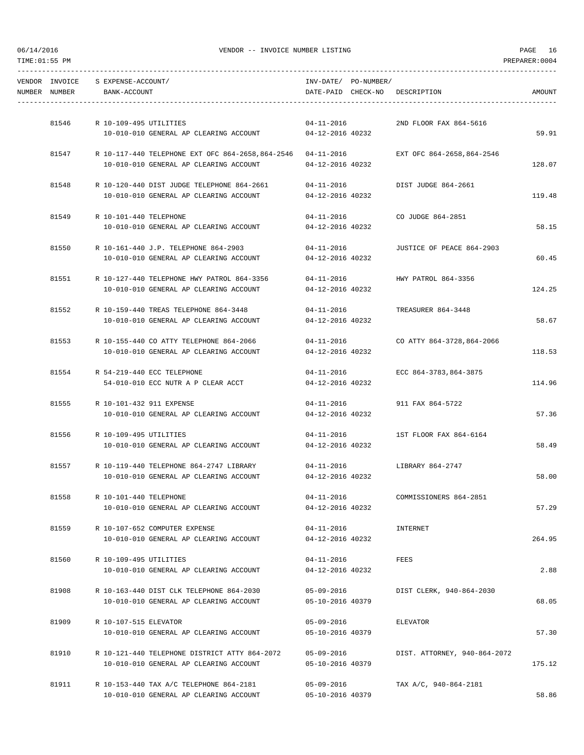| NUMBER NUMBER | VENDOR INVOICE S EXPENSE-ACCOUNT/<br>BANK-ACCOUNT |                                                                                                       | INV-DATE/ PO-NUMBER/                 | DATE-PAID CHECK-NO DESCRIPTION | AMOUNT |
|---------------|---------------------------------------------------|-------------------------------------------------------------------------------------------------------|--------------------------------------|--------------------------------|--------|
|               |                                                   |                                                                                                       |                                      |                                |        |
|               | 81546 R 10-109-495 UTILITIES                      |                                                                                                       | $04 - 11 - 2016$                     | 2ND FLOOR FAX 864-5616         |        |
|               |                                                   | 10-010-010 GENERAL AP CLEARING ACCOUNT 04-12-2016 40232                                               |                                      |                                | 59.91  |
|               |                                                   | 81547 R 10-117-440 TELEPHONE EXT OFC 864-2658,864-2546 04-11-2016                                     |                                      | EXT OFC 864-2658,864-2546      |        |
|               |                                                   | 10-010-010 GENERAL AP CLEARING ACCOUNT                                                                | 04-12-2016 40232                     |                                | 128.07 |
|               |                                                   |                                                                                                       |                                      |                                |        |
|               |                                                   | 81548 R 10-120-440 DIST JUDGE TELEPHONE 864-2661 04-11-2016<br>10-010-010 GENERAL AP CLEARING ACCOUNT | 04-12-2016 40232                     | DIST JUDGE 864-2661            | 119.48 |
|               |                                                   |                                                                                                       |                                      |                                |        |
| 81549         | R 10-101-440 TELEPHONE                            |                                                                                                       | $04 - 11 - 2016$                     | CO JUDGE 864-2851              |        |
|               |                                                   | 10-010-010 GENERAL AP CLEARING ACCOUNT                                                                | 04-12-2016 40232                     |                                | 58.15  |
|               |                                                   | 81550 R 10-161-440 J.P. TELEPHONE 864-2903                                                            | $04 - 11 - 2016$                     | JUSTICE OF PEACE 864-2903      |        |
|               |                                                   | 10-010-010 GENERAL AP CLEARING ACCOUNT                                                                | 04-12-2016 40232                     |                                | 60.45  |
|               |                                                   |                                                                                                       |                                      |                                |        |
|               |                                                   | 81551 R 10-127-440 TELEPHONE HWY PATROL 864-3356                                                      | $04 - 11 - 2016$                     | HWY PATROL 864-3356            |        |
|               |                                                   | 10-010-010 GENERAL AP CLEARING ACCOUNT                                                                | 04-12-2016 40232                     |                                | 124.25 |
|               |                                                   | 81552 R 10-159-440 TREAS TELEPHONE 864-3448                                                           |                                      | 04-11-2016 TREASURER 864-3448  |        |
|               |                                                   | 10-010-010 GENERAL AP CLEARING ACCOUNT                                                                | 04-12-2016 40232                     |                                | 58.67  |
|               |                                                   |                                                                                                       |                                      |                                |        |
|               |                                                   | 81553 R 10-155-440 CO ATTY TELEPHONE 864-2066<br>10-010-010 GENERAL AP CLEARING ACCOUNT               | $04 - 11 - 2016$<br>04-12-2016 40232 | CO ATTY 864-3728,864-2066      | 118.53 |
|               |                                                   |                                                                                                       |                                      |                                |        |
|               | 81554 R 54-219-440 ECC TELEPHONE                  |                                                                                                       | $04 - 11 - 2016$                     | ECC 864-3783,864-3875          |        |
|               |                                                   | 54-010-010 ECC NUTR A P CLEAR ACCT                                                                    | 04-12-2016 40232                     |                                | 114.96 |
|               | 81555 R 10-101-432 911 EXPENSE                    |                                                                                                       | $04 - 11 - 2016$                     | 911 FAX 864-5722               |        |
|               |                                                   | 10-010-010 GENERAL AP CLEARING ACCOUNT                                                                | 04-12-2016 40232                     |                                | 57.36  |
|               |                                                   |                                                                                                       |                                      |                                |        |
|               | 81556 R 10-109-495 UTILITIES                      | 10-010-010 GENERAL AP CLEARING ACCOUNT                                                                | $04 - 11 - 2016$<br>04-12-2016 40232 | 1ST FLOOR FAX 864-6164         | 58.49  |
|               |                                                   |                                                                                                       |                                      |                                |        |
|               |                                                   | 81557 R 10-119-440 TELEPHONE 864-2747 LIBRARY                                                         |                                      | 04-11-2016 LIBRARY 864-2747    |        |
|               |                                                   | 10-010-010 GENERAL AP CLEARING ACCOUNT                                                                | 04-12-2016 40232                     |                                | 58.00  |
| 81558         |                                                   |                                                                                                       | $04 - 11 - 2016$                     |                                |        |
|               | R 10-101-440 TELEPHONE                            | 10-010-010 GENERAL AP CLEARING ACCOUNT                                                                | 04-12-2016 40232                     | COMMISSIONERS 864-2851         | 57.29  |
|               |                                                   |                                                                                                       |                                      |                                |        |
| 81559         | R 10-107-652 COMPUTER EXPENSE                     |                                                                                                       | $04 - 11 - 2016$                     | INTERNET                       |        |
|               |                                                   | 10-010-010 GENERAL AP CLEARING ACCOUNT                                                                | 04-12-2016 40232                     |                                | 264.95 |
| 81560         | R 10-109-495 UTILITIES                            |                                                                                                       | $04 - 11 - 2016$                     | FEES                           |        |
|               |                                                   | 10-010-010 GENERAL AP CLEARING ACCOUNT                                                                | 04-12-2016 40232                     |                                | 2.88   |
|               |                                                   |                                                                                                       |                                      |                                |        |
| 81908         |                                                   | R 10-163-440 DIST CLK TELEPHONE 864-2030<br>10-010-010 GENERAL AP CLEARING ACCOUNT                    | $05 - 09 - 2016$<br>05-10-2016 40379 | DIST CLERK, 940-864-2030       | 68.05  |
|               |                                                   |                                                                                                       |                                      |                                |        |
| 81909         | R 10-107-515 ELEVATOR                             |                                                                                                       | $05 - 09 - 2016$                     | ELEVATOR                       |        |
|               |                                                   | 10-010-010 GENERAL AP CLEARING ACCOUNT                                                                | 05-10-2016 40379                     |                                | 57.30  |
| 81910         |                                                   | R 10-121-440 TELEPHONE DISTRICT ATTY 864-2072                                                         | $05 - 09 - 2016$                     | DIST. ATTORNEY, 940-864-2072   |        |
|               |                                                   | 10-010-010 GENERAL AP CLEARING ACCOUNT                                                                | 05-10-2016 40379                     |                                | 175.12 |
|               |                                                   |                                                                                                       |                                      |                                |        |
| 81911         |                                                   | R 10-153-440 TAX A/C TELEPHONE 864-2181                                                               | $05 - 09 - 2016$                     | TAX A/C, 940-864-2181          |        |
|               |                                                   | 10-010-010 GENERAL AP CLEARING ACCOUNT                                                                | 05-10-2016 40379                     |                                | 58.86  |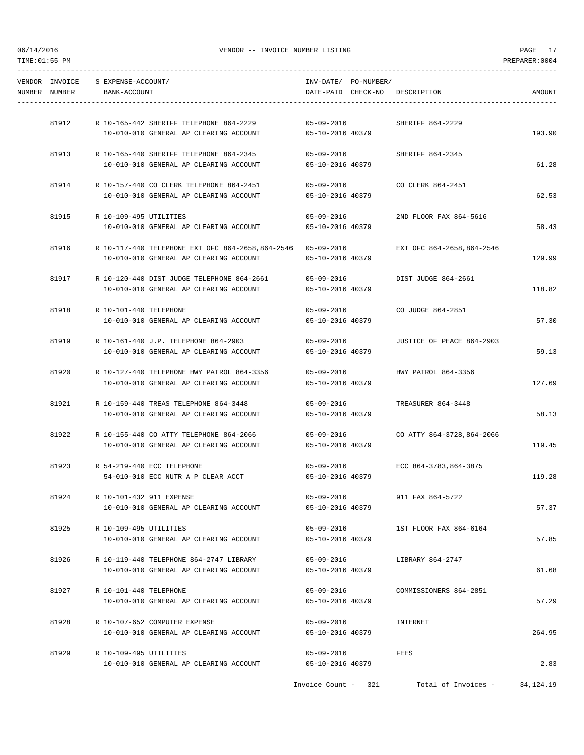| NUMBER NUMBER | VENDOR INVOICE S EXPENSE-ACCOUNT/<br>BANK-ACCOUNT                                    | INV-DATE/ PO-NUMBER/<br>DATE-PAID CHECK-NO DESCRIPTION |                                      | AMOUNT      |
|---------------|--------------------------------------------------------------------------------------|--------------------------------------------------------|--------------------------------------|-------------|
|               |                                                                                      |                                                        |                                      |             |
|               | 81912 R 10-165-442 SHERIFF TELEPHONE 864-2229 05-09-2016 SHERIFF 864-2229            |                                                        |                                      |             |
|               | 10-010-010 GENERAL AP CLEARING ACCOUNT 05-10-2016 40379                              |                                                        |                                      | 193.90      |
|               | 81913 R 10-165-440 SHERIFF TELEPHONE 864-2345                                        | $05 - 09 - 2016$                                       | SHERIFF 864-2345                     |             |
|               | 10-010-010 GENERAL AP CLEARING ACCOUNT                                               | 05-10-2016 40379                                       |                                      | 61.28       |
|               | 81914 R 10-157-440 CO CLERK TELEPHONE 864-2451                                       |                                                        | 05-09-2016 CO CLERK 864-2451         |             |
|               | 10-010-010 GENERAL AP CLEARING ACCOUNT                                               | 05-10-2016 40379                                       |                                      | 62.53       |
|               |                                                                                      |                                                        |                                      |             |
| 81915         | R 10-109-495 UTILITIES<br>10-010-010 GENERAL AP CLEARING ACCOUNT                     | $05 - 09 - 2016$<br>05-10-2016 40379                   | 2ND FLOOR FAX 864-5616               | 58.43       |
|               |                                                                                      |                                                        |                                      |             |
|               | 81916 R 10-117-440 TELEPHONE EXT OFC 864-2658,864-2546 05-09-2016                    |                                                        | EXT OFC 864-2658,864-2546            |             |
|               | 10-010-010 GENERAL AP CLEARING ACCOUNT                                               | 05-10-2016 40379                                       |                                      | 129.99      |
|               | 81917 R 10-120-440 DIST JUDGE TELEPHONE 864-2661                                     | 05-09-2016                                             | DIST JUDGE 864-2661                  |             |
|               | 10-010-010 GENERAL AP CLEARING ACCOUNT                                               | 05-10-2016 40379                                       |                                      | 118.82      |
|               | 81918 R 10-101-440 TELEPHONE                                                         |                                                        | 05-09-2016 CO JUDGE 864-2851         |             |
|               | 10-010-010 GENERAL AP CLEARING ACCOUNT                                               | 05-10-2016 40379                                       |                                      | 57.30       |
| 81919         | R 10-161-440 J.P. TELEPHONE 864-2903                                                 |                                                        |                                      |             |
|               | 10-010-010 GENERAL AP CLEARING ACCOUNT                                               | $05 - 09 - 2016$<br>05-10-2016 40379                   | JUSTICE OF PEACE 864-2903            | 59.13       |
|               |                                                                                      |                                                        |                                      |             |
| 81920         | R 10-127-440 TELEPHONE HWY PATROL 864-3356<br>10-010-010 GENERAL AP CLEARING ACCOUNT | 05-09-2016<br>05-10-2016 40379                         | HWY PATROL 864-3356                  | 127.69      |
|               |                                                                                      |                                                        |                                      |             |
|               | 81921 R 10-159-440 TREAS TELEPHONE 864-3448                                          | $05 - 09 - 2016$                                       | TREASURER 864-3448                   |             |
|               | 10-010-010 GENERAL AP CLEARING ACCOUNT                                               | 05-10-2016 40379                                       |                                      | 58.13       |
|               | 81922 R 10-155-440 CO ATTY TELEPHONE 864-2066                                        |                                                        | 05-09-2016 CO ATTY 864-3728,864-2066 |             |
|               | 10-010-010 GENERAL AP CLEARING ACCOUNT                                               | 05-10-2016 40379                                       |                                      | 119.45      |
|               | 81923 R 54-219-440 ECC TELEPHONE                                                     |                                                        | 05-09-2016 ECC 864-3783,864-3875     |             |
|               | 54-010-010 ECC NUTR A P CLEAR ACCT                                                   | 05-10-2016 40379                                       |                                      | 119.28      |
|               | R 10-101-432 911 EXPENSE                                                             |                                                        |                                      |             |
| 81924         | 10-010-010 GENERAL AP CLEARING ACCOUNT                                               | $05 - 09 - 2016$<br>05-10-2016 40379                   | 911 FAX 864-5722                     | 57.37       |
|               |                                                                                      |                                                        |                                      |             |
| 81925         | R 10-109-495 UTILITIES<br>10-010-010 GENERAL AP CLEARING ACCOUNT                     | $05 - 09 - 2016$<br>05-10-2016 40379                   | 1ST FLOOR FAX 864-6164               | 57.85       |
|               |                                                                                      |                                                        |                                      |             |
| 81926         | R 10-119-440 TELEPHONE 864-2747 LIBRARY                                              | $05 - 09 - 2016$                                       | LIBRARY 864-2747                     |             |
|               | 10-010-010 GENERAL AP CLEARING ACCOUNT                                               | 05-10-2016 40379                                       |                                      | 61.68       |
| 81927         | R 10-101-440 TELEPHONE                                                               | 05-09-2016                                             | COMMISSIONERS 864-2851               |             |
|               | 10-010-010 GENERAL AP CLEARING ACCOUNT                                               | 05-10-2016 40379                                       |                                      | 57.29       |
| 81928         | R 10-107-652 COMPUTER EXPENSE                                                        | $05 - 09 - 2016$                                       | INTERNET                             |             |
|               | 10-010-010 GENERAL AP CLEARING ACCOUNT                                               | 05-10-2016 40379                                       |                                      | 264.95      |
|               |                                                                                      |                                                        |                                      |             |
| 81929         | R 10-109-495 UTILITIES<br>10-010-010 GENERAL AP CLEARING ACCOUNT                     | $05 - 09 - 2016$<br>05-10-2016 40379                   | FEES                                 | 2.83        |
|               |                                                                                      |                                                        |                                      |             |
|               |                                                                                      | Invoice Count - 321                                    | Total of Invoices -                  | 34, 124. 19 |